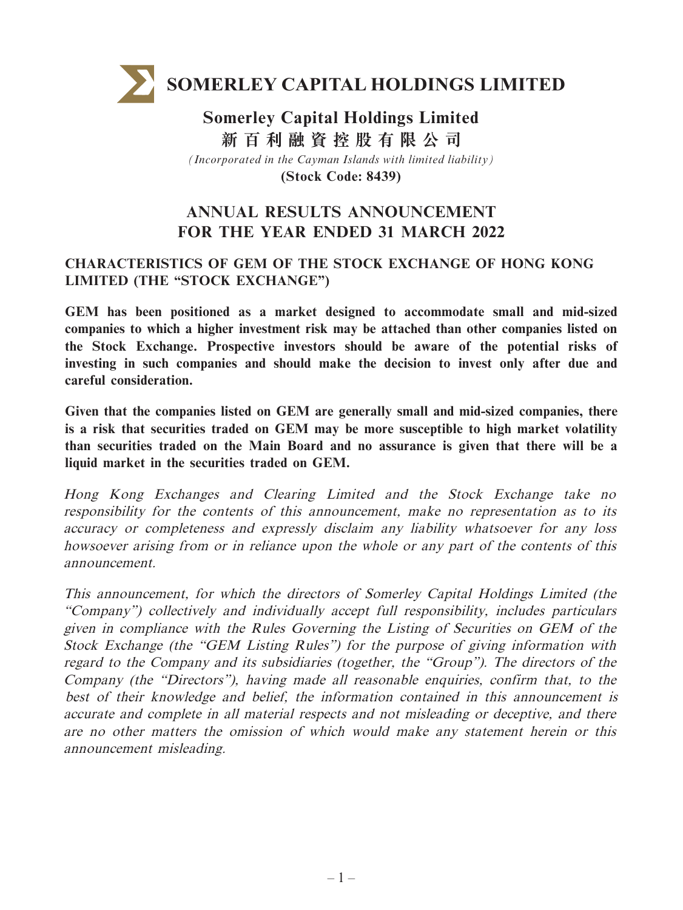

**Somerley Capital Holdings Limited** *(Incorporated in the Cayman Islands with limited liability)* **(Stock Code: 8439) 新百利融資控股有限公司**

# **ANNUAL RESULTS ANNOUNCEMENT FOR THE YEAR ENDED 31 MARCH 2022**

## **CHARACTERISTICS OF GEM OF THE STOCK EXCHANGE OF HONG KONG LIMITED (THE "STOCK EXCHANGE")**

**GEM has been positioned as a market designed to accommodate small and mid-sized companies to which a higher investment risk may be attached than other companies listed on the Stock Exchange. Prospective investors should be aware of the potential risks of investing in such companies and should make the decision to invest only after due and careful consideration.**

**Given that the companies listed on GEM are generally small and mid-sized companies, there is a risk that securities traded on GEM may be more susceptible to high market volatility than securities traded on the Main Board and no assurance is given that there will be a liquid market in the securities traded on GEM.**

Hong Kong Exchanges and Clearing Limited and the Stock Exchange take no responsibility for the contents of this announcement, make no representation as to its accuracy or completeness and expressly disclaim any liability whatsoever for any loss howsoever arising from or in reliance upon the whole or any part of the contents of this announcement.

This announcement, for which the directors of Somerley Capital Holdings Limited (the "Company") collectively and individually accept full responsibility, includes particulars given in compliance with the Rules Governing the Listing of Securities on GEM of the Stock Exchange (the "GEM Listing Rules") for the purpose of giving information with regard to the Company and its subsidiaries (together, the "Group"). The directors of the Company (the "Directors"), having made all reasonable enquiries, confirm that, to the best of their knowledge and belief, the information contained in this announcement is accurate and complete in all material respects and not misleading or deceptive, and there are no other matters the omission of which would make any statement herein or this announcement misleading.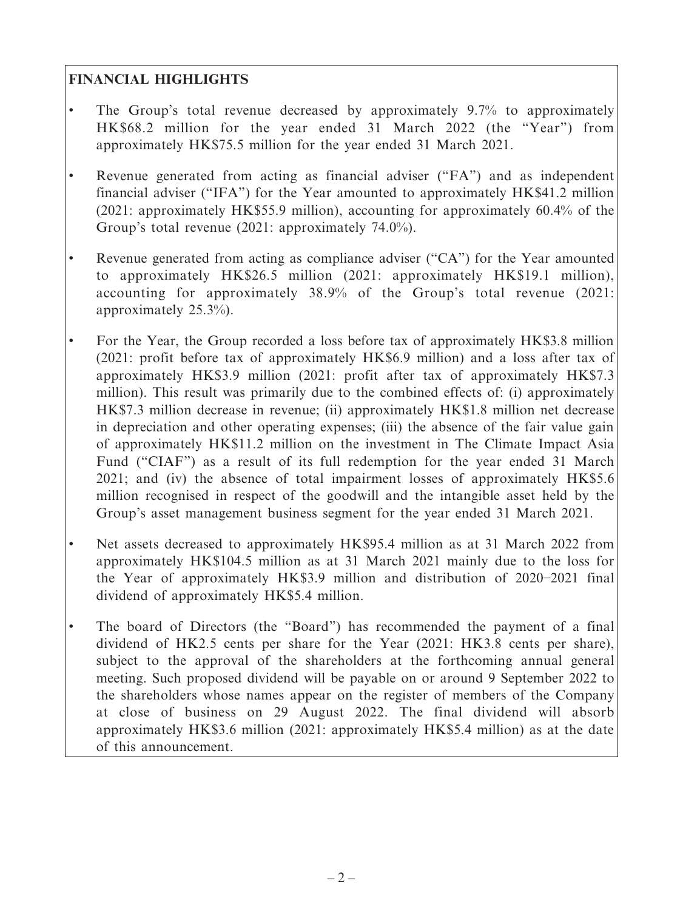## **FINANCIAL HIGHLIGHTS**

- The Group's total revenue decreased by approximately 9.7% to approximately HK\$68.2 million for the year ended 31 March 2022 (the "Year") from approximately HK\$75.5 million for the year ended 31 March 2021.
- Revenue generated from acting as financial adviser ("FA") and as independent financial adviser ("IFA") for the Year amounted to approximately HK\$41.2 million (2021: approximately HK\$55.9 million), accounting for approximately 60.4% of the Group's total revenue (2021: approximately 74.0%).
- Revenue generated from acting as compliance adviser ("CA") for the Year amounted to approximately HK\$26.5 million (2021: approximately HK\$19.1 million), accounting for approximately 38.9% of the Group's total revenue (2021: approximately 25.3%).
- For the Year, the Group recorded a loss before tax of approximately HK\$3.8 million (2021: profit before tax of approximately HK\$6.9 million) and a loss after tax of approximately HK\$3.9 million (2021: profit after tax of approximately HK\$7.3 million). This result was primarily due to the combined effects of: (i) approximately HK\$7.3 million decrease in revenue; (ii) approximately HK\$1.8 million net decrease in depreciation and other operating expenses; (iii) the absence of the fair value gain of approximately HK\$11.2 million on the investment in The Climate Impact Asia Fund ("CIAF") as a result of its full redemption for the year ended 31 March 2021; and (iv) the absence of total impairment losses of approximately HK\$5.6 million recognised in respect of the goodwill and the intangible asset held by the Group's asset management business segment for the year ended 31 March 2021.
- Net assets decreased to approximately HK\$95.4 million as at 31 March 2022 from approximately HK\$104.5 million as at 31 March 2021 mainly due to the loss for the Year of approximately HK\$3.9 million and distribution of 2020–2021 final dividend of approximately HK\$5.4 million.
- The board of Directors (the "Board") has recommended the payment of a final dividend of HK2.5 cents per share for the Year (2021: HK3.8 cents per share), subject to the approval of the shareholders at the forthcoming annual general meeting. Such proposed dividend will be payable on or around 9 September 2022 to the shareholders whose names appear on the register of members of the Company at close of business on 29 August 2022. The final dividend will absorb approximately HK\$3.6 million (2021: approximately HK\$5.4 million) as at the date of this announcement.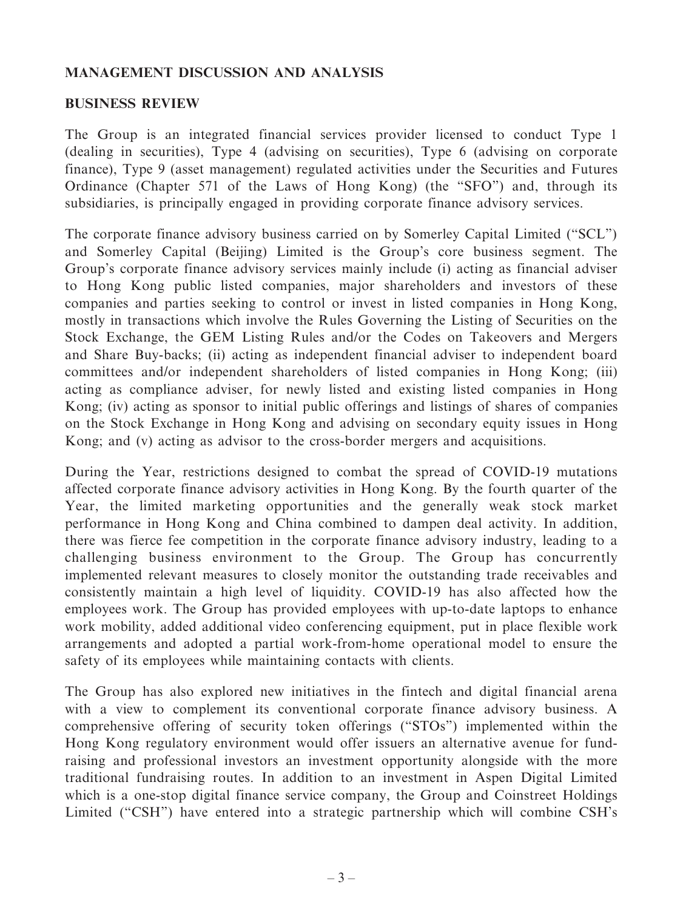### **MANAGEMENT DISCUSSION AND ANALYSIS**

### **BUSINESS REVIEW**

The Group is an integrated financial services provider licensed to conduct Type 1 (dealing in securities), Type 4 (advising on securities), Type 6 (advising on corporate finance), Type 9 (asset management) regulated activities under the Securities and Futures Ordinance (Chapter 571 of the Laws of Hong Kong) (the "SFO") and, through its subsidiaries, is principally engaged in providing corporate finance advisory services.

The corporate finance advisory business carried on by Somerley Capital Limited ("SCL") and Somerley Capital (Beijing) Limited is the Group's core business segment. The Group's corporate finance advisory services mainly include (i) acting as financial adviser to Hong Kong public listed companies, major shareholders and investors of these companies and parties seeking to control or invest in listed companies in Hong Kong, mostly in transactions which involve the Rules Governing the Listing of Securities on the Stock Exchange, the GEM Listing Rules and/or the Codes on Takeovers and Mergers and Share Buy-backs; (ii) acting as independent financial adviser to independent board committees and/or independent shareholders of listed companies in Hong Kong; (iii) acting as compliance adviser, for newly listed and existing listed companies in Hong Kong; (iv) acting as sponsor to initial public offerings and listings of shares of companies on the Stock Exchange in Hong Kong and advising on secondary equity issues in Hong Kong; and (v) acting as advisor to the cross-border mergers and acquisitions.

During the Year, restrictions designed to combat the spread of COVID-19 mutations affected corporate finance advisory activities in Hong Kong. By the fourth quarter of the Year, the limited marketing opportunities and the generally weak stock market performance in Hong Kong and China combined to dampen deal activity. In addition, there was fierce fee competition in the corporate finance advisory industry, leading to a challenging business environment to the Group. The Group has concurrently implemented relevant measures to closely monitor the outstanding trade receivables and consistently maintain a high level of liquidity. COVID-19 has also affected how the employees work. The Group has provided employees with up-to-date laptops to enhance work mobility, added additional video conferencing equipment, put in place flexible work arrangements and adopted a partial work-from-home operational model to ensure the safety of its employees while maintaining contacts with clients.

The Group has also explored new initiatives in the fintech and digital financial arena with a view to complement its conventional corporate finance advisory business. A comprehensive offering of security token offerings ("STOs") implemented within the Hong Kong regulatory environment would offer issuers an alternative avenue for fundraising and professional investors an investment opportunity alongside with the more traditional fundraising routes. In addition to an investment in Aspen Digital Limited which is a one-stop digital finance service company, the Group and Coinstreet Holdings Limited ("CSH") have entered into a strategic partnership which will combine CSH's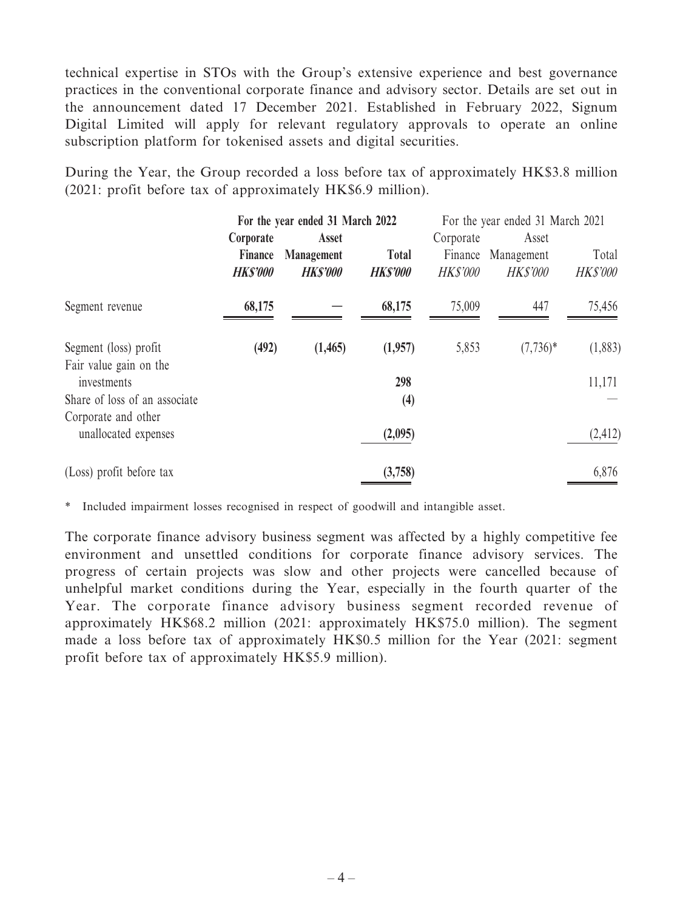technical expertise in STOs with the Group's extensive experience and best governance practices in the conventional corporate finance and advisory sector. Details are set out in the announcement dated 17 December 2021. Established in February 2022, Signum Digital Limited will apply for relevant regulatory approvals to operate an online subscription platform for tokenised assets and digital securities.

During the Year, the Group recorded a loss before tax of approximately HK\$3.8 million (2021: profit before tax of approximately HK\$6.9 million).

|                                       | For the year ended 31 March 2022 |                   | For the year ended 31 March 2021 |                 |                 |                 |
|---------------------------------------|----------------------------------|-------------------|----------------------------------|-----------------|-----------------|-----------------|
|                                       | Corporate                        | Asset             |                                  | Corporate       | Asset           |                 |
|                                       | Finance                          | <b>Management</b> | <b>Total</b>                     | Finance         | Management      | Total           |
|                                       | <b>HKS'000</b>                   | <b>HK\$'000</b>   | <b>HK\$'000</b>                  | <b>HK\$'000</b> | <b>HK\$'000</b> | <b>HK\$'000</b> |
| Segment revenue                       | 68,175                           |                   | 68,175                           | 75,009          | 447             | 75,456          |
| Segment (loss) profit                 | (492)                            | (1, 465)          | (1,957)                          | 5,853           | $(7,736)^*$     | (1,883)         |
| Fair value gain on the<br>investments |                                  |                   | 298                              |                 |                 | 11,171          |
| Share of loss of an associate         |                                  |                   | $\left(4\right)$                 |                 |                 |                 |
| Corporate and other                   |                                  |                   |                                  |                 |                 |                 |
| unallocated expenses                  |                                  |                   | (2,095)                          |                 |                 | (2, 412)        |
| (Loss) profit before tax              |                                  |                   | (3,758)                          |                 |                 | 6,876           |

\* Included impairment losses recognised in respect of goodwill and intangible asset.

The corporate finance advisory business segment was affected by a highly competitive fee environment and unsettled conditions for corporate finance advisory services. The progress of certain projects was slow and other projects were cancelled because of unhelpful market conditions during the Year, especially in the fourth quarter of the Year. The corporate finance advisory business segment recorded revenue of approximately HK\$68.2 million (2021: approximately HK\$75.0 million). The segment made a loss before tax of approximately HK\$0.5 million for the Year (2021: segment profit before tax of approximately HK\$5.9 million).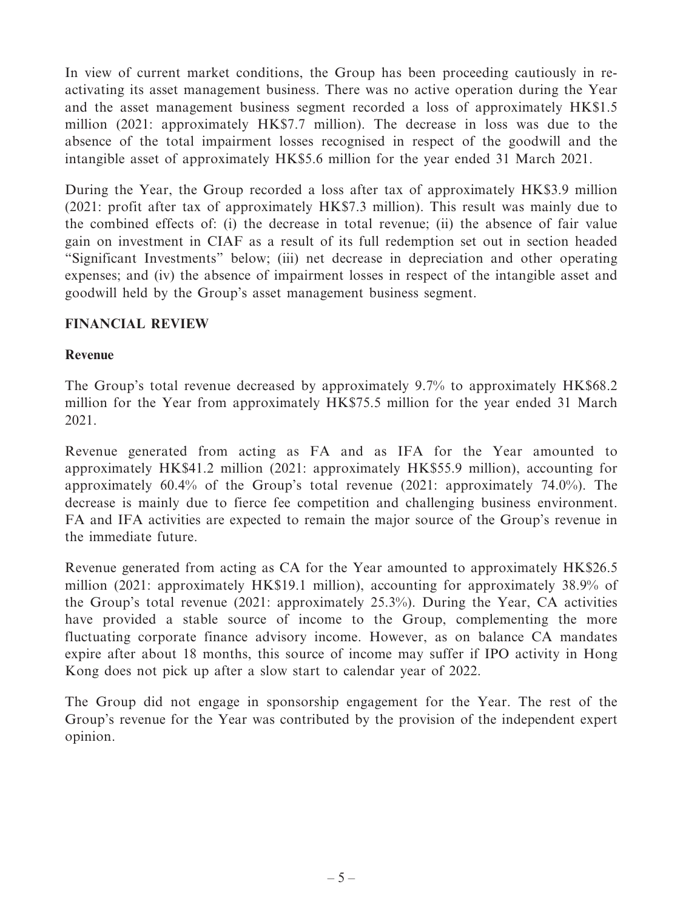In view of current market conditions, the Group has been proceeding cautiously in reactivating its asset management business. There was no active operation during the Year and the asset management business segment recorded a loss of approximately HK\$1.5 million (2021: approximately HK\$7.7 million). The decrease in loss was due to the absence of the total impairment losses recognised in respect of the goodwill and the intangible asset of approximately HK\$5.6 million for the year ended 31 March 2021.

During the Year, the Group recorded a loss after tax of approximately HK\$3.9 million (2021: profit after tax of approximately HK\$7.3 million). This result was mainly due to the combined effects of: (i) the decrease in total revenue; (ii) the absence of fair value gain on investment in CIAF as a result of its full redemption set out in section headed "Significant Investments" below; (iii) net decrease in depreciation and other operating expenses; and (iv) the absence of impairment losses in respect of the intangible asset and goodwill held by the Group's asset management business segment.

### **FINANCIAL REVIEW**

### **Revenue**

The Group's total revenue decreased by approximately 9.7% to approximately HK\$68.2 million for the Year from approximately HK\$75.5 million for the year ended 31 March 2021.

Revenue generated from acting as FA and as IFA for the Year amounted to approximately HK\$41.2 million (2021: approximately HK\$55.9 million), accounting for approximately 60.4% of the Group's total revenue (2021: approximately 74.0%). The decrease is mainly due to fierce fee competition and challenging business environment. FA and IFA activities are expected to remain the major source of the Group's revenue in the immediate future.

Revenue generated from acting as CA for the Year amounted to approximately HK\$26.5 million (2021: approximately HK\$19.1 million), accounting for approximately 38.9% of the Group's total revenue (2021: approximately 25.3%). During the Year, CA activities have provided a stable source of income to the Group, complementing the more fluctuating corporate finance advisory income. However, as on balance CA mandates expire after about 18 months, this source of income may suffer if IPO activity in Hong Kong does not pick up after a slow start to calendar year of 2022.

The Group did not engage in sponsorship engagement for the Year. The rest of the Group's revenue for the Year was contributed by the provision of the independent expert opinion.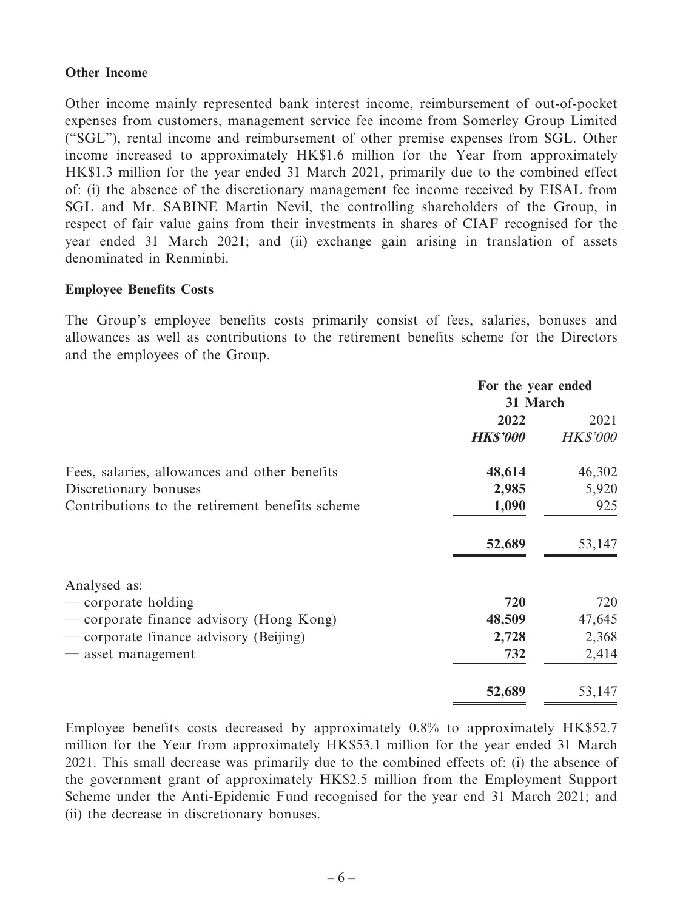### **Other Income**

Other income mainly represented bank interest income, reimbursement of out-of-pocket expenses from customers, management service fee income from Somerley Group Limited ("SGL"), rental income and reimbursement of other premise expenses from SGL. Other income increased to approximately HK\$1.6 million for the Year from approximately HK\$1.3 million for the year ended 31 March 2021, primarily due to the combined effect of: (i) the absence of the discretionary management fee income received by EISAL from SGL and Mr. SABINE Martin Nevil, the controlling shareholders of the Group, in respect of fair value gains from their investments in shares of CIAF recognised for the year ended 31 March 2021; and (ii) exchange gain arising in translation of assets denominated in Renminbi.

### **Employee Benefits Costs**

The Group's employee benefits costs primarily consist of fees, salaries, bonuses and allowances as well as contributions to the retirement benefits scheme for the Directors and the employees of the Group.

|                                                 | For the year ended |                 |  |
|-------------------------------------------------|--------------------|-----------------|--|
|                                                 | 31 March           |                 |  |
|                                                 | 2022               | 2021            |  |
|                                                 | <b>HK\$'000</b>    | <b>HK\$'000</b> |  |
| Fees, salaries, allowances and other benefits   | 48,614             | 46,302          |  |
| Discretionary bonuses                           | 2,985              | 5,920           |  |
| Contributions to the retirement benefits scheme | 1,090              | 925             |  |
|                                                 | 52,689             | 53,147          |  |
| Analysed as:                                    |                    |                 |  |
| $\sim$ corporate holding                        | 720                | 720             |  |
| — corporate finance advisory (Hong Kong)        | 48,509             | 47,645          |  |
| — corporate finance advisory (Beijing)          | 2,728              | 2,368           |  |
| — asset management                              | 732                | 2,414           |  |
|                                                 | 52,689             | 53,147          |  |

Employee benefits costs decreased by approximately 0.8% to approximately HK\$52.7 million for the Year from approximately HK\$53.1 million for the year ended 31 March 2021. This small decrease was primarily due to the combined effects of: (i) the absence of the government grant of approximately HK\$2.5 million from the Employment Support Scheme under the Anti-Epidemic Fund recognised for the year end 31 March 2021; and (ii) the decrease in discretionary bonuses.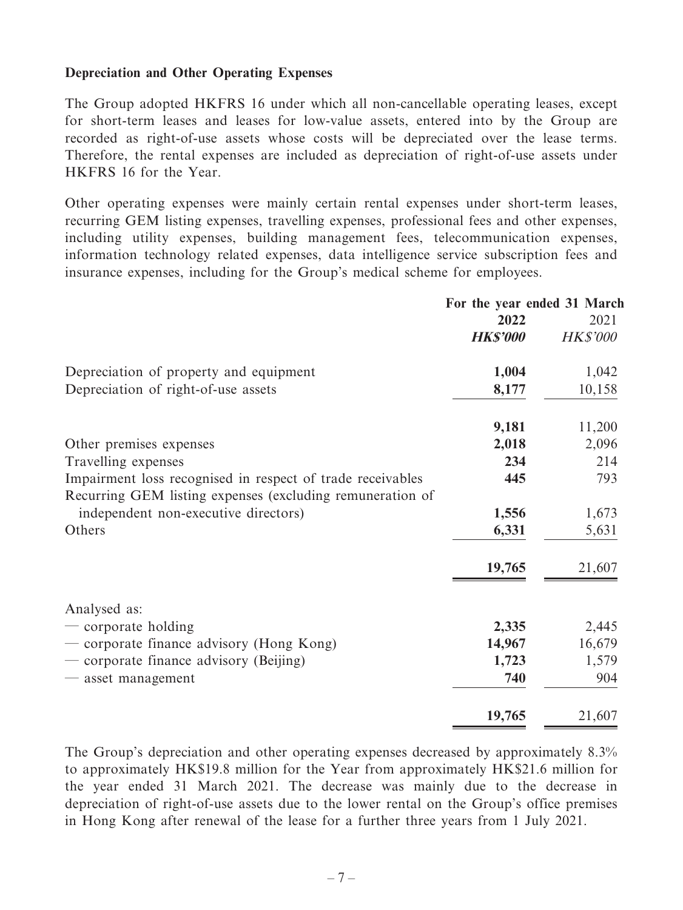### **Depreciation and Other Operating Expenses**

The Group adopted HKFRS 16 under which all non-cancellable operating leases, except for short-term leases and leases for low-value assets, entered into by the Group are recorded as right-of-use assets whose costs will be depreciated over the lease terms. Therefore, the rental expenses are included as depreciation of right-of-use assets under HKFRS 16 for the Year.

Other operating expenses were mainly certain rental expenses under short-term leases, recurring GEM listing expenses, travelling expenses, professional fees and other expenses, including utility expenses, building management fees, telecommunication expenses, information technology related expenses, data intelligence service subscription fees and insurance expenses, including for the Group's medical scheme for employees.

|                                                            | For the year ended 31 March |                 |  |
|------------------------------------------------------------|-----------------------------|-----------------|--|
|                                                            | 2022                        | 2021            |  |
|                                                            | <b>HK\$'000</b>             | <b>HK\$'000</b> |  |
| Depreciation of property and equipment                     | 1,004                       | 1,042           |  |
| Depreciation of right-of-use assets                        | 8,177                       | 10,158          |  |
|                                                            | 9,181                       | 11,200          |  |
| Other premises expenses                                    | 2,018                       | 2,096           |  |
| Travelling expenses                                        | 234                         | 214             |  |
| Impairment loss recognised in respect of trade receivables | 445                         | 793             |  |
| Recurring GEM listing expenses (excluding remuneration of  |                             |                 |  |
| independent non-executive directors)                       | 1,556                       | 1,673           |  |
| Others                                                     | 6,331                       | 5,631           |  |
|                                                            | 19,765                      | 21,607          |  |
| Analysed as:                                               |                             |                 |  |
| — corporate holding                                        | 2,335                       | 2,445           |  |
| - corporate finance advisory (Hong Kong)                   | 14,967                      | 16,679          |  |
| — corporate finance advisory (Beijing)                     | 1,723                       | 1,579           |  |
| — asset management                                         | 740                         | 904             |  |
|                                                            | 19,765                      | 21,607          |  |

The Group's depreciation and other operating expenses decreased by approximately 8.3% to approximately HK\$19.8 million for the Year from approximately HK\$21.6 million for the year ended 31 March 2021. The decrease was mainly due to the decrease in depreciation of right-of-use assets due to the lower rental on the Group's office premises in Hong Kong after renewal of the lease for a further three years from 1 July 2021.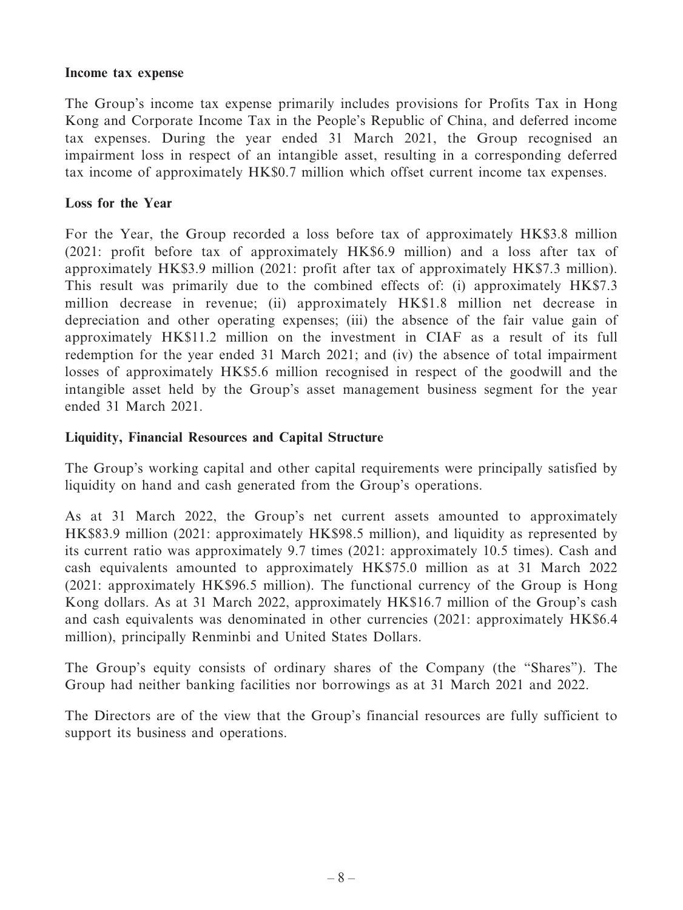### **Income tax expense**

The Group's income tax expense primarily includes provisions for Profits Tax in Hong Kong and Corporate Income Tax in the People's Republic of China, and deferred income tax expenses. During the year ended 31 March 2021, the Group recognised an impairment loss in respect of an intangible asset, resulting in a corresponding deferred tax income of approximately HK\$0.7 million which offset current income tax expenses.

### **Loss for the Year**

For the Year, the Group recorded a loss before tax of approximately HK\$3.8 million (2021: profit before tax of approximately HK\$6.9 million) and a loss after tax of approximately HK\$3.9 million (2021: profit after tax of approximately HK\$7.3 million). This result was primarily due to the combined effects of: (i) approximately HK\$7.3 million decrease in revenue; (ii) approximately HK\$1.8 million net decrease in depreciation and other operating expenses; (iii) the absence of the fair value gain of approximately HK\$11.2 million on the investment in CIAF as a result of its full redemption for the year ended 31 March 2021; and (iv) the absence of total impairment losses of approximately HK\$5.6 million recognised in respect of the goodwill and the intangible asset held by the Group's asset management business segment for the year ended 31 March 2021.

### **Liquidity, Financial Resources and Capital Structure**

The Group's working capital and other capital requirements were principally satisfied by liquidity on hand and cash generated from the Group's operations.

As at 31 March 2022, the Group's net current assets amounted to approximately HK\$83.9 million (2021: approximately HK\$98.5 million), and liquidity as represented by its current ratio was approximately 9.7 times (2021: approximately 10.5 times). Cash and cash equivalents amounted to approximately HK\$75.0 million as at 31 March 2022 (2021: approximately HK\$96.5 million). The functional currency of the Group is Hong Kong dollars. As at 31 March 2022, approximately HK\$16.7 million of the Group's cash and cash equivalents was denominated in other currencies (2021: approximately HK\$6.4 million), principally Renminbi and United States Dollars.

The Group's equity consists of ordinary shares of the Company (the "Shares"). The Group had neither banking facilities nor borrowings as at 31 March 2021 and 2022.

The Directors are of the view that the Group's financial resources are fully sufficient to support its business and operations.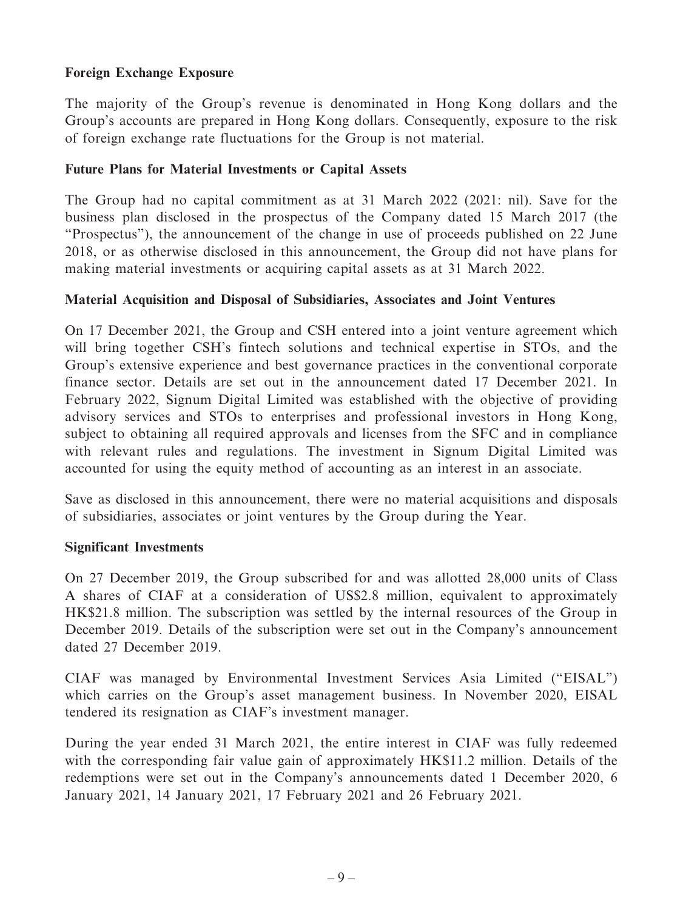## **Foreign Exchange Exposure**

The majority of the Group's revenue is denominated in Hong Kong dollars and the Group's accounts are prepared in Hong Kong dollars. Consequently, exposure to the risk of foreign exchange rate fluctuations for the Group is not material.

## **Future Plans for Material Investments or Capital Assets**

The Group had no capital commitment as at 31 March 2022 (2021: nil). Save for the business plan disclosed in the prospectus of the Company dated 15 March 2017 (the "Prospectus"), the announcement of the change in use of proceeds published on 22 June 2018, or as otherwise disclosed in this announcement, the Group did not have plans for making material investments or acquiring capital assets as at 31 March 2022.

### **Material Acquisition and Disposal of Subsidiaries, Associates and Joint Ventures**

On 17 December 2021, the Group and CSH entered into a joint venture agreement which will bring together CSH's fintech solutions and technical expertise in STOs, and the Group's extensive experience and best governance practices in the conventional corporate finance sector. Details are set out in the announcement dated 17 December 2021. In February 2022, Signum Digital Limited was established with the objective of providing advisory services and STOs to enterprises and professional investors in Hong Kong, subject to obtaining all required approvals and licenses from the SFC and in compliance with relevant rules and regulations. The investment in Signum Digital Limited was accounted for using the equity method of accounting as an interest in an associate.

Save as disclosed in this announcement, there were no material acquisitions and disposals of subsidiaries, associates or joint ventures by the Group during the Year.

### **Significant Investments**

On 27 December 2019, the Group subscribed for and was allotted 28,000 units of Class A shares of CIAF at a consideration of US\$2.8 million, equivalent to approximately HK\$21.8 million. The subscription was settled by the internal resources of the Group in December 2019. Details of the subscription were set out in the Company's announcement dated 27 December 2019.

CIAF was managed by Environmental Investment Services Asia Limited ("EISAL") which carries on the Group's asset management business. In November 2020, EISAL tendered its resignation as CIAF's investment manager.

During the year ended 31 March 2021, the entire interest in CIAF was fully redeemed with the corresponding fair value gain of approximately HK\$11.2 million. Details of the redemptions were set out in the Company's announcements dated 1 December 2020, 6 January 2021, 14 January 2021, 17 February 2021 and 26 February 2021.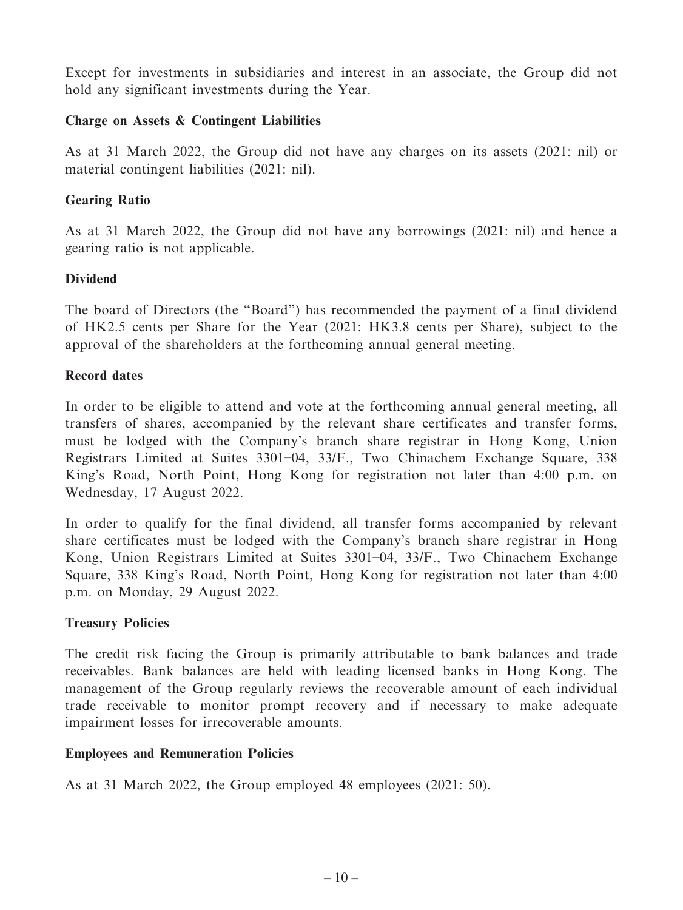Except for investments in subsidiaries and interest in an associate, the Group did not hold any significant investments during the Year.

### **Charge on Assets & Contingent Liabilities**

As at 31 March 2022, the Group did not have any charges on its assets (2021: nil) or material contingent liabilities (2021: nil).

### **Gearing Ratio**

As at 31 March 2022, the Group did not have any borrowings (2021: nil) and hence a gearing ratio is not applicable.

### **Dividend**

The board of Directors (the "Board") has recommended the payment of a final dividend of HK2.5 cents per Share for the Year (2021: HK3.8 cents per Share), subject to the approval of the shareholders at the forthcoming annual general meeting.

### **Record dates**

In order to be eligible to attend and vote at the forthcoming annual general meeting, all transfers of shares, accompanied by the relevant share certificates and transfer forms, must be lodged with the Company's branch share registrar in Hong Kong, Union Registrars Limited at Suites 3301–04, 33/F., Two Chinachem Exchange Square, 338 King's Road, North Point, Hong Kong for registration not later than 4:00 p.m. on Wednesday, 17 August 2022.

In order to qualify for the final dividend, all transfer forms accompanied by relevant share certificates must be lodged with the Company's branch share registrar in Hong Kong, Union Registrars Limited at Suites 3301–04, 33/F., Two Chinachem Exchange Square, 338 King's Road, North Point, Hong Kong for registration not later than 4:00 p.m. on Monday, 29 August 2022.

### **Treasury Policies**

The credit risk facing the Group is primarily attributable to bank balances and trade receivables. Bank balances are held with leading licensed banks in Hong Kong. The management of the Group regularly reviews the recoverable amount of each individual trade receivable to monitor prompt recovery and if necessary to make adequate impairment losses for irrecoverable amounts.

### **Employees and Remuneration Policies**

As at 31 March 2022, the Group employed 48 employees (2021: 50).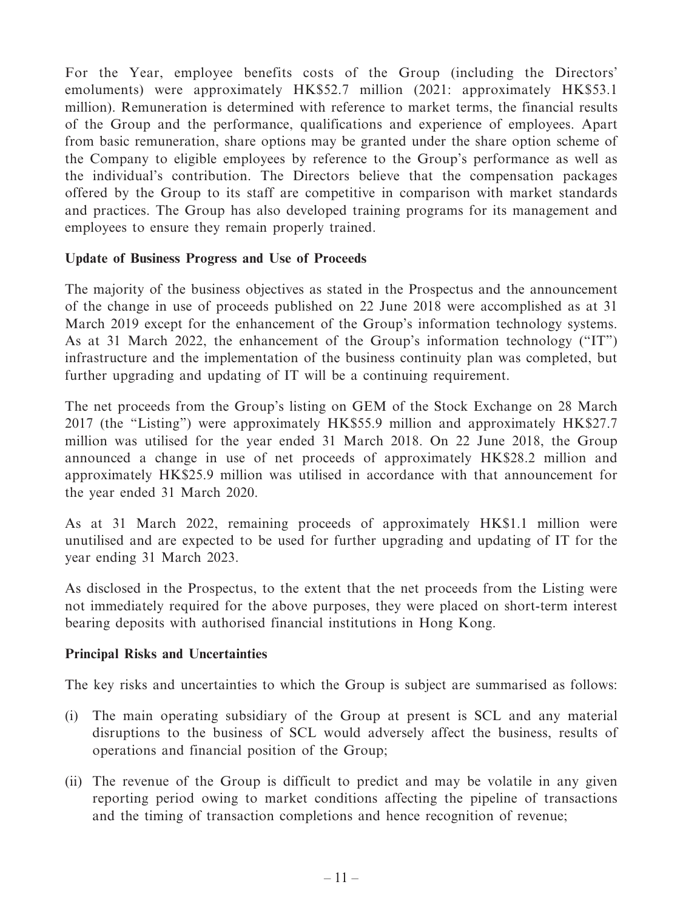For the Year, employee benefits costs of the Group (including the Directors' emoluments) were approximately HK\$52.7 million (2021: approximately HK\$53.1 million). Remuneration is determined with reference to market terms, the financial results of the Group and the performance, qualifications and experience of employees. Apart from basic remuneration, share options may be granted under the share option scheme of the Company to eligible employees by reference to the Group's performance as well as the individual's contribution. The Directors believe that the compensation packages offered by the Group to its staff are competitive in comparison with market standards and practices. The Group has also developed training programs for its management and employees to ensure they remain properly trained.

### **Update of Business Progress and Use of Proceeds**

The majority of the business objectives as stated in the Prospectus and the announcement of the change in use of proceeds published on 22 June 2018 were accomplished as at 31 March 2019 except for the enhancement of the Group's information technology systems. As at 31 March 2022, the enhancement of the Group's information technology ("IT") infrastructure and the implementation of the business continuity plan was completed, but further upgrading and updating of IT will be a continuing requirement.

The net proceeds from the Group's listing on GEM of the Stock Exchange on 28 March 2017 (the "Listing") were approximately HK\$55.9 million and approximately HK\$27.7 million was utilised for the year ended 31 March 2018. On 22 June 2018, the Group announced a change in use of net proceeds of approximately HK\$28.2 million and approximately HK\$25.9 million was utilised in accordance with that announcement for the year ended 31 March 2020.

As at 31 March 2022, remaining proceeds of approximately HK\$1.1 million were unutilised and are expected to be used for further upgrading and updating of IT for the year ending 31 March 2023.

As disclosed in the Prospectus, to the extent that the net proceeds from the Listing were not immediately required for the above purposes, they were placed on short-term interest bearing deposits with authorised financial institutions in Hong Kong.

### **Principal Risks and Uncertainties**

The key risks and uncertainties to which the Group is subject are summarised as follows:

- (i) The main operating subsidiary of the Group at present is SCL and any material disruptions to the business of SCL would adversely affect the business, results of operations and financial position of the Group;
- (ii) The revenue of the Group is difficult to predict and may be volatile in any given reporting period owing to market conditions affecting the pipeline of transactions and the timing of transaction completions and hence recognition of revenue;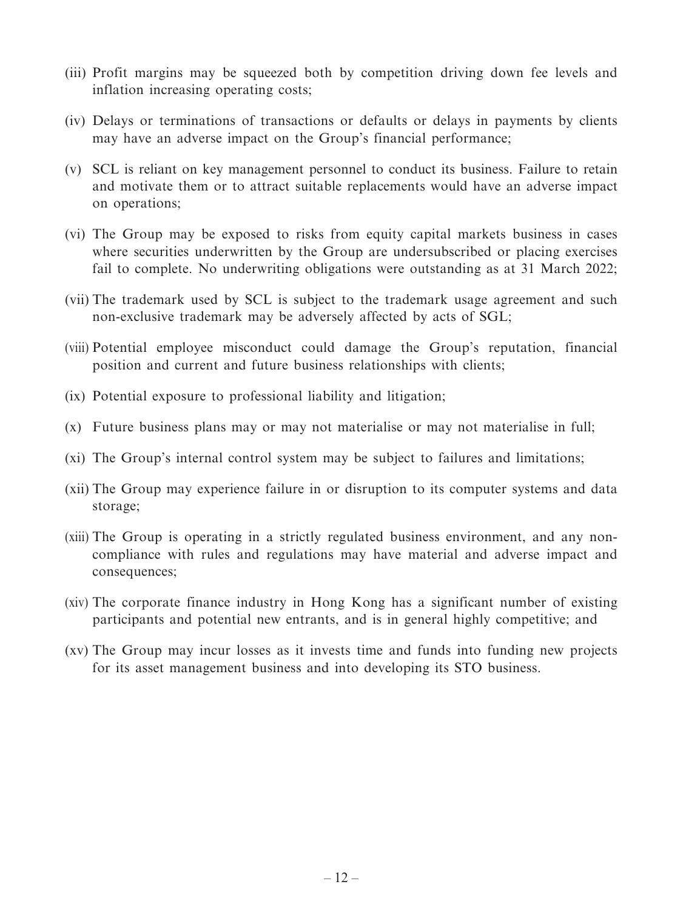- (iii) Profit margins may be squeezed both by competition driving down fee levels and inflation increasing operating costs;
- (iv) Delays or terminations of transactions or defaults or delays in payments by clients may have an adverse impact on the Group's financial performance;
- (v) SCL is reliant on key management personnel to conduct its business. Failure to retain and motivate them or to attract suitable replacements would have an adverse impact on operations;
- (vi) The Group may be exposed to risks from equity capital markets business in cases where securities underwritten by the Group are undersubscribed or placing exercises fail to complete. No underwriting obligations were outstanding as at 31 March 2022;
- (vii) The trademark used by SCL is subject to the trademark usage agreement and such non-exclusive trademark may be adversely affected by acts of SGL;
- (viii) Potential employee misconduct could damage the Group's reputation, financial position and current and future business relationships with clients;
- (ix) Potential exposure to professional liability and litigation;
- (x) Future business plans may or may not materialise or may not materialise in full;
- (xi) The Group's internal control system may be subject to failures and limitations;
- (xii) The Group may experience failure in or disruption to its computer systems and data storage;
- (xiii) The Group is operating in a strictly regulated business environment, and any noncompliance with rules and regulations may have material and adverse impact and consequences;
- (xiv) The corporate finance industry in Hong Kong has a significant number of existing participants and potential new entrants, and is in general highly competitive; and
- (xv) The Group may incur losses as it invests time and funds into funding new projects for its asset management business and into developing its STO business.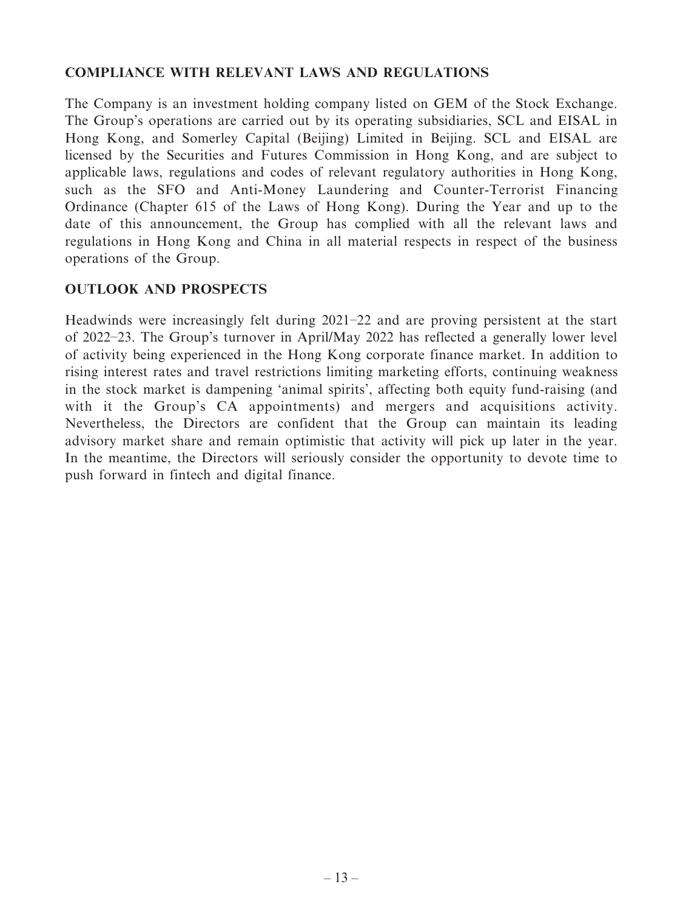## **COMPLIANCE WITH RELEVANT LAWS AND REGULATIONS**

The Company is an investment holding company listed on GEM of the Stock Exchange. The Group's operations are carried out by its operating subsidiaries, SCL and EISAL in Hong Kong, and Somerley Capital (Beijing) Limited in Beijing. SCL and EISAL are licensed by the Securities and Futures Commission in Hong Kong, and are subject to applicable laws, regulations and codes of relevant regulatory authorities in Hong Kong, such as the SFO and Anti-Money Laundering and Counter-Terrorist Financing Ordinance (Chapter 615 of the Laws of Hong Kong). During the Year and up to the date of this announcement, the Group has complied with all the relevant laws and regulations in Hong Kong and China in all material respects in respect of the business operations of the Group.

## **OUTLOOK AND PROSPECTS**

Headwinds were increasingly felt during 2021–22 and are proving persistent at the start of 2022–23. The Group's turnover in April/May 2022 has reflected a generally lower level of activity being experienced in the Hong Kong corporate finance market. In addition to rising interest rates and travel restrictions limiting marketing efforts, continuing weakness in the stock market is dampening 'animal spirits', affecting both equity fund-raising (and with it the Group's CA appointments) and mergers and acquisitions activity. Nevertheless, the Directors are confident that the Group can maintain its leading advisory market share and remain optimistic that activity will pick up later in the year. In the meantime, the Directors will seriously consider the opportunity to devote time to push forward in fintech and digital finance.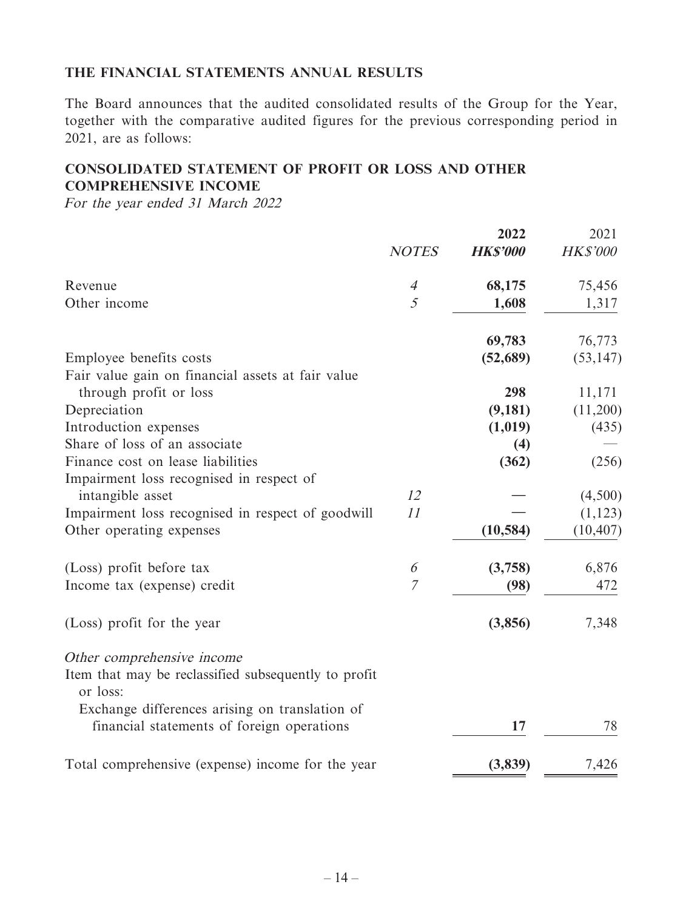## **THE FINANCIAL STATEMENTS ANNUAL RESULTS**

The Board announces that the audited consolidated results of the Group for the Year, together with the comparative audited figures for the previous corresponding period in 2021, are as follows:

## **CONSOLIDATED STATEMENT OF PROFIT OR LOSS AND OTHER COMPREHENSIVE INCOME**

For the year ended 31 March 2022

|                                                                             |                | 2022            | 2021            |
|-----------------------------------------------------------------------------|----------------|-----------------|-----------------|
|                                                                             | <b>NOTES</b>   | <b>HK\$'000</b> | <b>HK\$'000</b> |
| Revenue                                                                     | $\overline{4}$ | 68,175          | 75,456          |
| Other income                                                                | 5              | 1,608           | 1,317           |
|                                                                             |                | 69,783          | 76,773          |
| Employee benefits costs                                                     |                | (52, 689)       | (53, 147)       |
| Fair value gain on financial assets at fair value<br>through profit or loss |                | 298             | 11,171          |
| Depreciation                                                                |                | (9,181)         | (11,200)        |
| Introduction expenses                                                       |                | (1,019)         | (435)           |
| Share of loss of an associate                                               |                | (4)             |                 |
| Finance cost on lease liabilities                                           |                | (362)           | (256)           |
| Impairment loss recognised in respect of                                    |                |                 |                 |
| intangible asset                                                            | 12             |                 | (4,500)         |
| Impairment loss recognised in respect of goodwill                           | 11             |                 | (1, 123)        |
| Other operating expenses                                                    |                | (10, 584)       | (10, 407)       |
| (Loss) profit before tax                                                    | 6              | (3,758)         | 6,876           |
| Income tax (expense) credit                                                 | $\overline{7}$ | (98)            | 472             |
| (Loss) profit for the year                                                  |                | (3,856)         | 7,348           |
| Other comprehensive income                                                  |                |                 |                 |
| Item that may be reclassified subsequently to profit<br>or loss:            |                |                 |                 |
| Exchange differences arising on translation of                              |                |                 |                 |
| financial statements of foreign operations                                  |                | 17              | 78              |
| Total comprehensive (expense) income for the year                           |                | (3,839)         | 7,426           |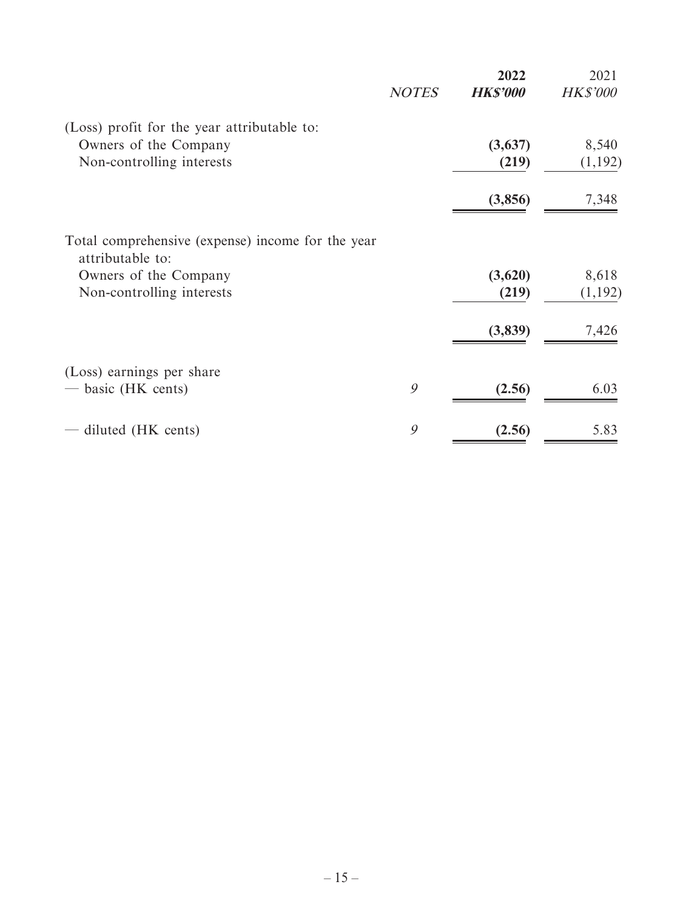|                                                                       | <b>NOTES</b> | 2022<br><b>HK\$'000</b> | 2021<br><b>HK\$'000</b> |
|-----------------------------------------------------------------------|--------------|-------------------------|-------------------------|
| (Loss) profit for the year attributable to:                           |              |                         |                         |
| Owners of the Company                                                 |              | (3,637)                 | 8,540                   |
| Non-controlling interests                                             |              | (219)                   | (1,192)                 |
|                                                                       |              | (3,856)                 | 7,348                   |
| Total comprehensive (expense) income for the year<br>attributable to: |              |                         |                         |
| Owners of the Company                                                 |              | (3,620)                 | 8,618                   |
| Non-controlling interests                                             |              | (219)                   | (1, 192)                |
|                                                                       |              | (3,839)                 | 7,426                   |
| (Loss) earnings per share                                             |              |                         |                         |
| — basic (HK cents)                                                    | 9            | (2.56)                  | 6.03                    |
| — diluted (HK cents)                                                  | 9            | (2.56)                  | 5.83                    |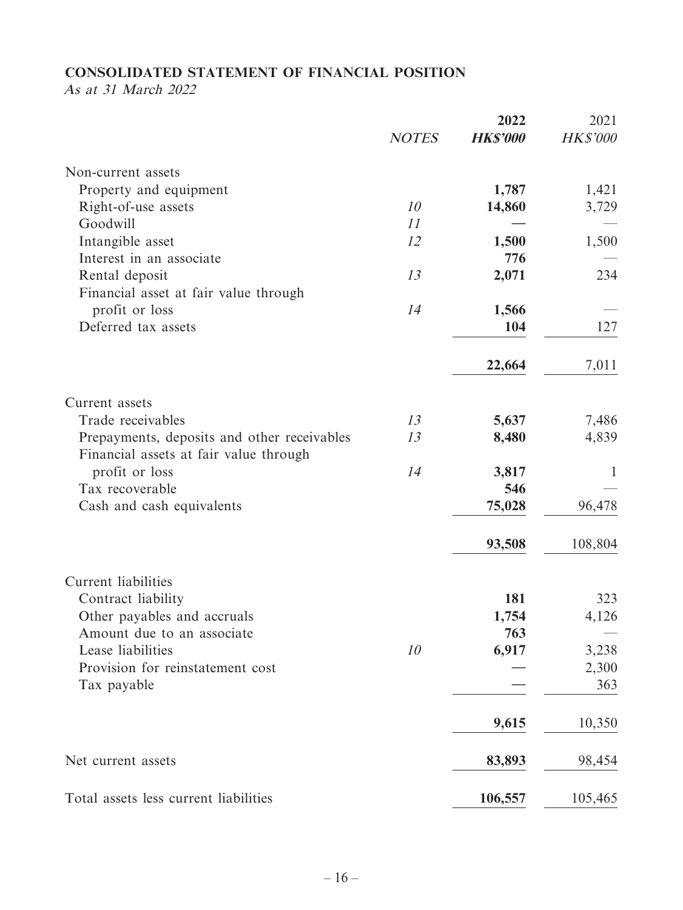## **CONSOLIDATED STATEMENT OF FINANCIAL POSITION**

As at 31 March 2022

|                                                                                       | <b>NOTES</b> | 2022<br><b>HK\$'000</b> | 2021<br><b>HK\$'000</b> |
|---------------------------------------------------------------------------------------|--------------|-------------------------|-------------------------|
| Non-current assets                                                                    |              |                         |                         |
| Property and equipment                                                                |              | 1,787                   | 1,421                   |
| Right-of-use assets                                                                   | 10           | 14,860                  | 3,729                   |
| Goodwill                                                                              | 11           |                         |                         |
| Intangible asset                                                                      | 12           | 1,500                   | 1,500                   |
| Interest in an associate                                                              |              | 776                     |                         |
| Rental deposit                                                                        | 13           | 2,071                   | 234                     |
| Financial asset at fair value through                                                 |              |                         |                         |
| profit or loss                                                                        | 14           | 1,566                   |                         |
| Deferred tax assets                                                                   |              | 104                     | 127                     |
|                                                                                       |              | 22,664                  | 7,011                   |
| Current assets                                                                        |              |                         |                         |
| Trade receivables                                                                     | 13           | 5,637                   | 7,486                   |
| Prepayments, deposits and other receivables<br>Financial assets at fair value through | 13           | 8,480                   | 4,839                   |
| profit or loss                                                                        | 14           | 3,817                   | $\mathbf{1}$            |
| Tax recoverable                                                                       |              | 546                     |                         |
| Cash and cash equivalents                                                             |              | 75,028                  | 96,478                  |
|                                                                                       |              | 93,508                  | 108,804                 |
| Current liabilities                                                                   |              |                         |                         |
| Contract liability                                                                    |              | 181                     | 323                     |
| Other payables and accruals                                                           |              | 1,754                   | 4,126                   |
| Amount due to an associate                                                            |              | 763                     |                         |
| Lease liabilities                                                                     | 10           | 6,917                   | 3,238                   |
| Provision for reinstatement cost                                                      |              |                         | 2,300                   |
| Tax payable                                                                           |              |                         | 363                     |
|                                                                                       |              | 9,615                   | 10,350                  |
| Net current assets                                                                    |              | 83,893                  | 98,454                  |
| Total assets less current liabilities                                                 |              | 106,557                 | 105,465                 |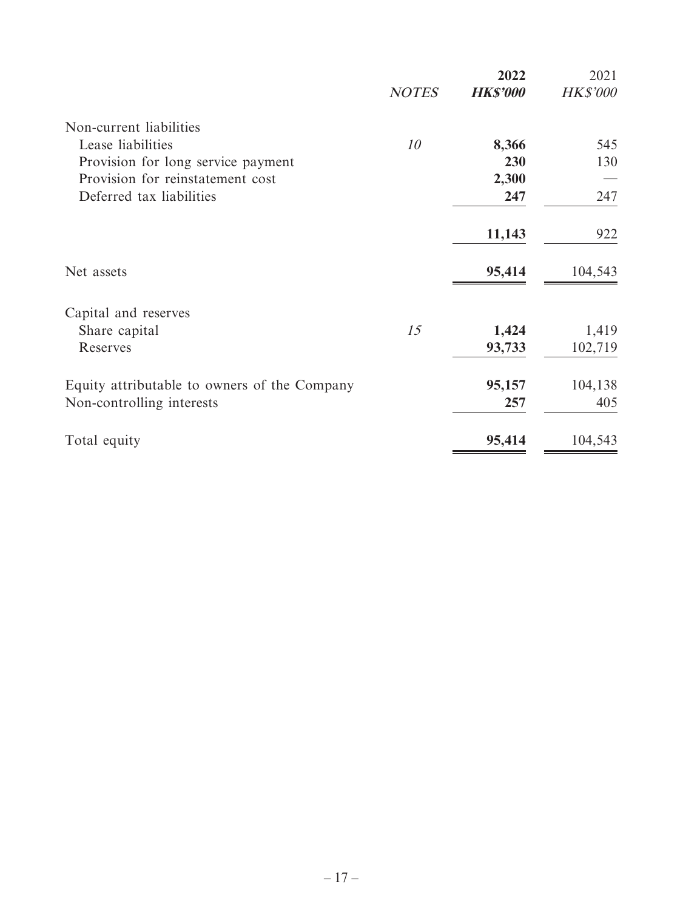|                                              |              | 2022            | 2021            |
|----------------------------------------------|--------------|-----------------|-----------------|
|                                              | <b>NOTES</b> | <b>HK\$'000</b> | <b>HK\$'000</b> |
| Non-current liabilities                      |              |                 |                 |
| Lease liabilities                            | 10           | 8,366           | 545             |
| Provision for long service payment           |              | 230             | 130             |
| Provision for reinstatement cost             |              | 2,300           |                 |
| Deferred tax liabilities                     |              | 247             | 247             |
|                                              |              | 11,143          | 922             |
| Net assets                                   |              | 95,414          | 104,543         |
| Capital and reserves                         |              |                 |                 |
| Share capital                                | 15           | 1,424           | 1,419           |
| Reserves                                     |              | 93,733          | 102,719         |
| Equity attributable to owners of the Company |              | 95,157          | 104,138         |
| Non-controlling interests                    |              | 257             | 405             |
| Total equity                                 |              | 95,414          | 104,543         |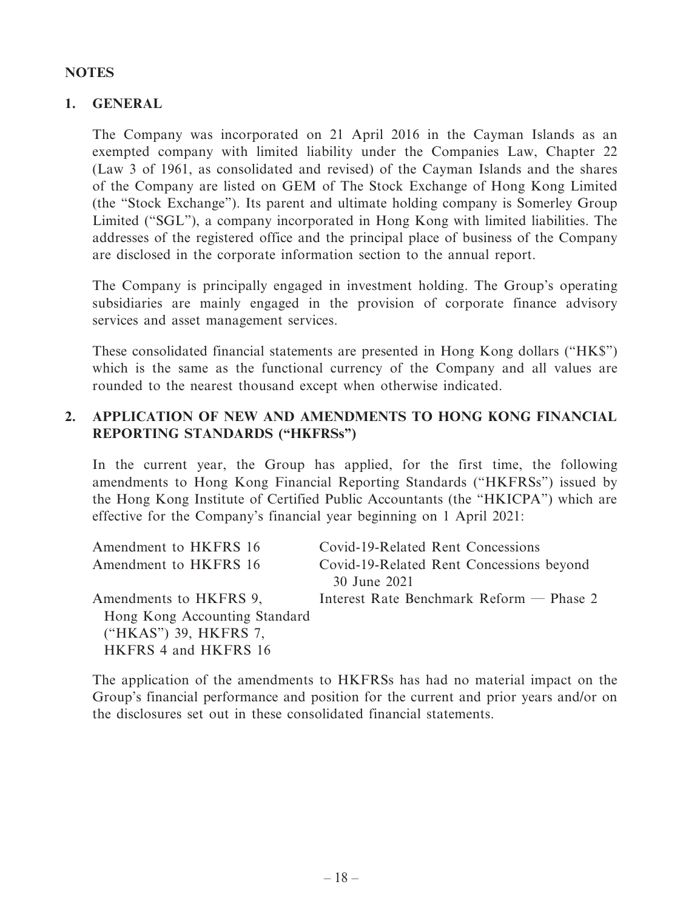## **NOTES**

## **1. GENERAL**

The Company was incorporated on 21 April 2016 in the Cayman Islands as an exempted company with limited liability under the Companies Law, Chapter 22 (Law 3 of 1961, as consolidated and revised) of the Cayman Islands and the shares of the Company are listed on GEM of The Stock Exchange of Hong Kong Limited (the "Stock Exchange"). Its parent and ultimate holding company is Somerley Group Limited ("SGL"), a company incorporated in Hong Kong with limited liabilities. The addresses of the registered office and the principal place of business of the Company are disclosed in the corporate information section to the annual report.

The Company is principally engaged in investment holding. The Group's operating subsidiaries are mainly engaged in the provision of corporate finance advisory services and asset management services.

These consolidated financial statements are presented in Hong Kong dollars ("HK\$") which is the same as the functional currency of the Company and all values are rounded to the nearest thousand except when otherwise indicated.

## **2. APPLICATION OF NEW AND AMENDMENTS TO HONG KONG FINANCIAL REPORTING STANDARDS ("HKFRSs")**

In the current year, the Group has applied, for the first time, the following amendments to Hong Kong Financial Reporting Standards ("HKFRSs") issued by the Hong Kong Institute of Certified Public Accountants (the "HKICPA") which are effective for the Company's financial year beginning on 1 April 2021:

| Amendment to HKFRS 16<br>Covid-19-Related Rent Concessions beyond    |  |
|----------------------------------------------------------------------|--|
| 30 June 2021                                                         |  |
| Amendments to HKFRS 9,<br>Interest Rate Benchmark Reform $-$ Phase 2 |  |
| Hong Kong Accounting Standard                                        |  |
| ("HKAS") 39, HKFRS 7,                                                |  |
| HKFRS 4 and HKFRS 16                                                 |  |

The application of the amendments to HKFRSs has had no material impact on the Group's financial performance and position for the current and prior years and/or on the disclosures set out in these consolidated financial statements.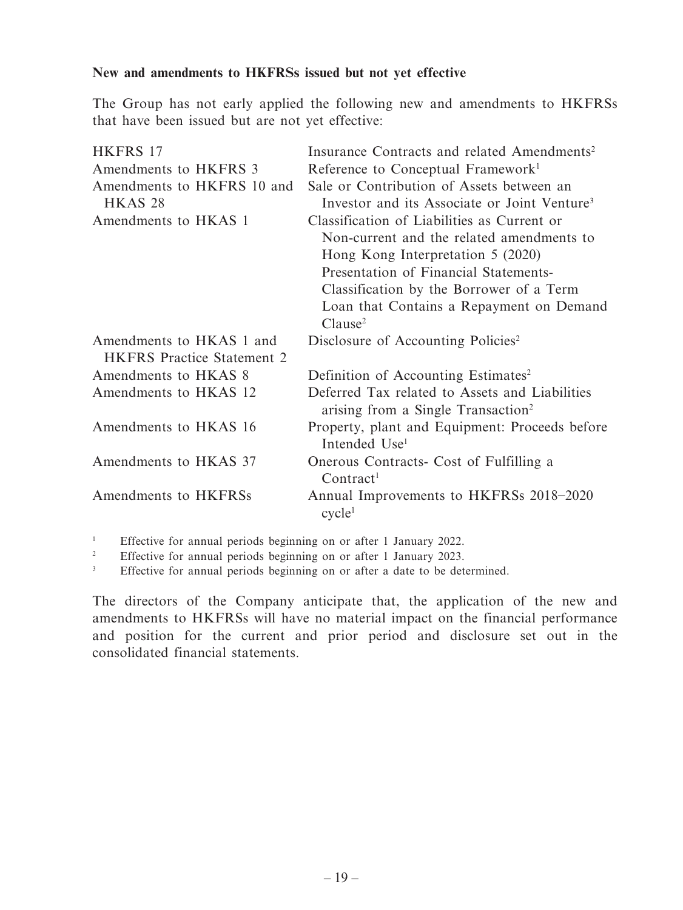### **New and amendments to HKFRSs issued but not yet effective**

The Group has not early applied the following new and amendments to HKFRSs that have been issued but are not yet effective:

| HKFRS 17                          | Insurance Contracts and related Amendments <sup>2</sup>                     |
|-----------------------------------|-----------------------------------------------------------------------------|
| Amendments to HKFRS 3             | Reference to Conceptual Framework <sup>1</sup>                              |
| Amendments to HKFRS 10 and        | Sale or Contribution of Assets between an                                   |
| HKAS <sub>28</sub>                | Investor and its Associate or Joint Venture <sup>3</sup>                    |
| Amendments to HKAS 1              | Classification of Liabilities as Current or                                 |
|                                   | Non-current and the related amendments to                                   |
|                                   | Hong Kong Interpretation 5 (2020)                                           |
|                                   | Presentation of Financial Statements-                                       |
|                                   | Classification by the Borrower of a Term                                    |
|                                   | Loan that Contains a Repayment on Demand                                    |
|                                   | Clause <sup>2</sup>                                                         |
| Amendments to HKAS 1 and          | Disclosure of Accounting Policies <sup>2</sup>                              |
| <b>HKFRS</b> Practice Statement 2 |                                                                             |
| Amendments to HKAS 8              | Definition of Accounting Estimates <sup>2</sup>                             |
| Amendments to HKAS 12             | Deferred Tax related to Assets and Liabilities                              |
|                                   | arising from a Single Transaction <sup>2</sup>                              |
| Amendments to HKAS 16             | Property, plant and Equipment: Proceeds before<br>Intended Use <sup>1</sup> |
| Amendments to HKAS 37             | Onerous Contracts - Cost of Fulfilling a<br>Contract <sup>1</sup>           |
| Amendments to HKFRSs              | Annual Improvements to HKFRSs 2018-2020<br>cycle <sup>1</sup>               |

1 Effective for annual periods beginning on or after 1 January 2022.

2 Effective for annual periods beginning on or after 1 January 2023.

3 Effective for annual periods beginning on or after a date to be determined.

The directors of the Company anticipate that, the application of the new and amendments to HKFRSs will have no material impact on the financial performance and position for the current and prior period and disclosure set out in the consolidated financial statements.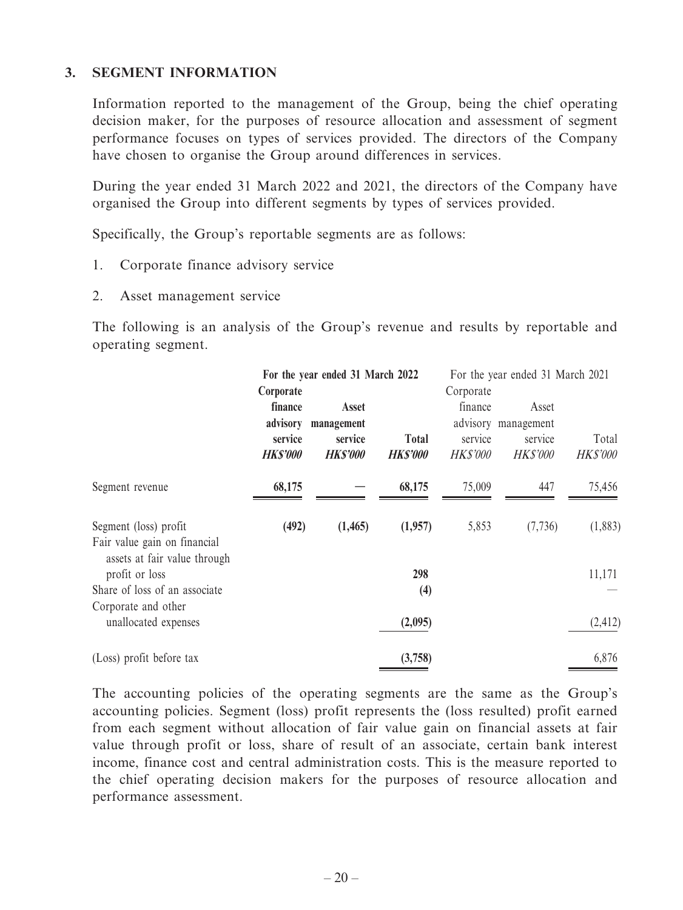### **3. SEGMENT INFORMATION**

Information reported to the management of the Group, being the chief operating decision maker, for the purposes of resource allocation and assessment of segment performance focuses on types of services provided. The directors of the Company have chosen to organise the Group around differences in services.

During the year ended 31 March 2022 and 2021, the directors of the Company have organised the Group into different segments by types of services provided.

Specifically, the Group's reportable segments are as follows:

- 1. Corporate finance advisory service
- 2. Asset management service

The following is an analysis of the Group's revenue and results by reportable and operating segment.

|                                                              | For the year ended 31 March 2022 |                 | For the year ended 31 March 2021 |                 |                     |                 |
|--------------------------------------------------------------|----------------------------------|-----------------|----------------------------------|-----------------|---------------------|-----------------|
|                                                              | Corporate                        |                 |                                  | Corporate       |                     |                 |
|                                                              | finance                          | Asset           |                                  | finance         | Asset               |                 |
|                                                              | advisory                         | management      |                                  |                 | advisory management |                 |
|                                                              | service                          | service         | <b>Total</b>                     | service         | service             | Total           |
|                                                              | <b>HK\$'000</b>                  | <b>HK\$'000</b> | <b>HK\$'000</b>                  | <b>HK\$'000</b> | <b>HK\$'000</b>     | <b>HK\$'000</b> |
| Segment revenue                                              | 68,175                           |                 | 68,175                           | 75,009          | 447                 | 75,456          |
| Segment (loss) profit                                        | (492)                            | (1, 465)        | (1,957)                          | 5,853           | (7, 736)            | (1,883)         |
| Fair value gain on financial<br>assets at fair value through |                                  |                 |                                  |                 |                     |                 |
| profit or loss                                               |                                  |                 | 298                              |                 |                     | 11,171          |
| Share of loss of an associate                                |                                  |                 | (4)                              |                 |                     |                 |
| Corporate and other                                          |                                  |                 |                                  |                 |                     |                 |
| unallocated expenses                                         |                                  |                 | (2,095)                          |                 |                     | (2, 412)        |
| (Loss) profit before tax                                     |                                  |                 | (3,758)                          |                 |                     | 6,876           |

The accounting policies of the operating segments are the same as the Group's accounting policies. Segment (loss) profit represents the (loss resulted) profit earned from each segment without allocation of fair value gain on financial assets at fair value through profit or loss, share of result of an associate, certain bank interest income, finance cost and central administration costs. This is the measure reported to the chief operating decision makers for the purposes of resource allocation and performance assessment.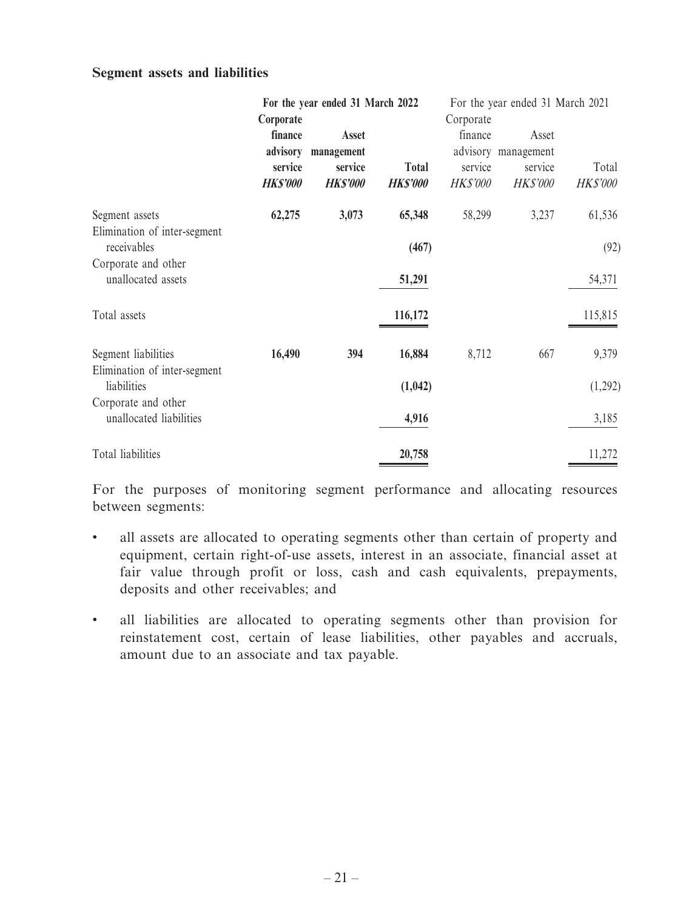### **Segment assets and liabilities**

|                                                     | For the year ended 31 March 2022 |                            |                                 | For the year ended 31 March 2021 |                            |                          |
|-----------------------------------------------------|----------------------------------|----------------------------|---------------------------------|----------------------------------|----------------------------|--------------------------|
|                                                     | Corporate<br>finance             | <b>Asset</b>               |                                 | Corporate<br>finance             | Asset                      |                          |
|                                                     | advisory                         | management                 |                                 |                                  | advisory management        |                          |
|                                                     | service<br><b>HK\$'000</b>       | service<br><b>HK\$'000</b> | <b>Total</b><br><b>HK\$'000</b> | service<br><b>HK\$'000</b>       | service<br><b>HK\$'000</b> | Total<br><b>HK\$'000</b> |
| Segment assets                                      | 62,275                           | 3,073                      | 65,348                          | 58,299                           | 3,237                      | 61,536                   |
| Elimination of inter-segment<br>receivables         |                                  |                            | (467)                           |                                  |                            | (92)                     |
| Corporate and other<br>unallocated assets           |                                  |                            | 51,291                          |                                  |                            | 54,371                   |
| Total assets                                        |                                  |                            | 116,172                         |                                  |                            | 115,815                  |
| Segment liabilities<br>Elimination of inter-segment | 16,490                           | 394                        | 16,884                          | 8,712                            | 667                        | 9,379                    |
| liabilities                                         |                                  |                            | (1,042)                         |                                  |                            | (1,292)                  |
| Corporate and other<br>unallocated liabilities      |                                  |                            | 4,916                           |                                  |                            | 3,185                    |
| Total liabilities                                   |                                  |                            | 20,758                          |                                  |                            | 11,272                   |

For the purposes of monitoring segment performance and allocating resources between segments:

- all assets are allocated to operating segments other than certain of property and equipment, certain right-of-use assets, interest in an associate, financial asset at fair value through profit or loss, cash and cash equivalents, prepayments, deposits and other receivables; and
- all liabilities are allocated to operating segments other than provision for reinstatement cost, certain of lease liabilities, other payables and accruals, amount due to an associate and tax payable.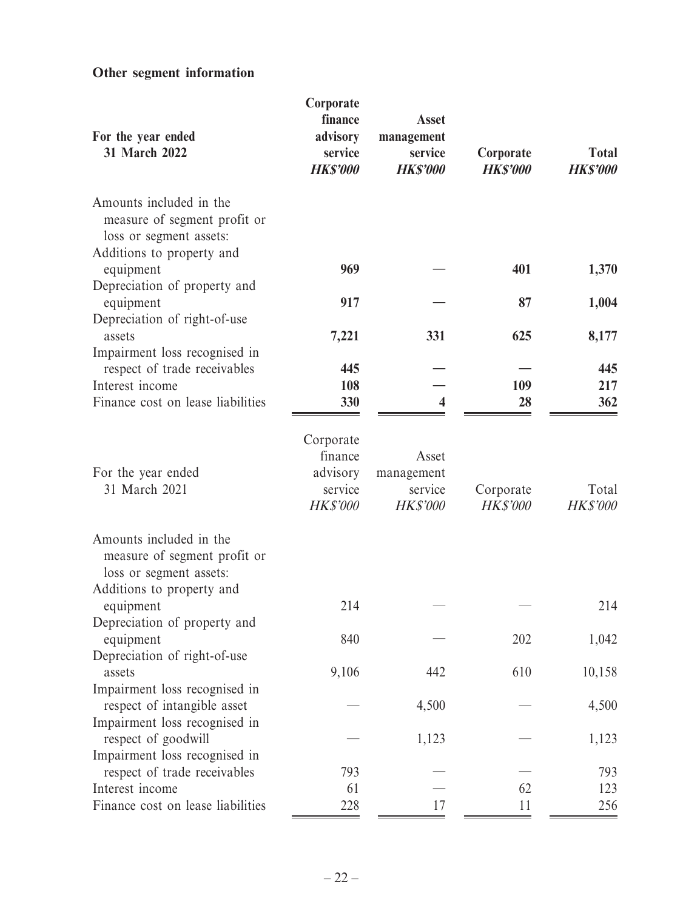# **Other segment information**

| For the year ended<br>31 March 2022                                                | Corporate<br>finance<br>advisory<br>service<br><b>HK\$'000</b> | <b>Asset</b><br>management<br>service<br><b>HK\$'000</b> | Corporate<br><b>HKS'000</b>  | <b>Total</b><br><b>HK\$'000</b> |
|------------------------------------------------------------------------------------|----------------------------------------------------------------|----------------------------------------------------------|------------------------------|---------------------------------|
| Amounts included in the<br>measure of segment profit or<br>loss or segment assets: |                                                                |                                                          |                              |                                 |
| Additions to property and<br>equipment                                             | 969                                                            |                                                          | 401                          | 1,370                           |
| Depreciation of property and<br>equipment                                          | 917                                                            |                                                          | 87                           | 1,004                           |
| Depreciation of right-of-use<br>assets                                             | 7,221                                                          | 331                                                      | 625                          | 8,177                           |
| Impairment loss recognised in<br>respect of trade receivables<br>Interest income   | 445<br>108                                                     |                                                          | 109                          | 445<br>217                      |
| Finance cost on lease liabilities                                                  | 330                                                            | ◢                                                        | 28                           | 362                             |
| For the year ended<br>31 March 2021                                                | Corporate<br>finance<br>advisory<br>service<br><b>HK\$'000</b> | Asset<br>management<br>service<br><b>HK\$'000</b>        | Corporate<br><b>HK\$'000</b> | Total<br><b>HK\$'000</b>        |
| Amounts included in the<br>measure of segment profit or<br>loss or segment assets: |                                                                |                                                          |                              |                                 |
| Additions to property and<br>equipment                                             | 214                                                            |                                                          |                              | 214                             |
| Depreciation of property and<br>equipment                                          | 840                                                            |                                                          | 202                          | 1,042                           |
| Depreciation of right-of-use<br>assets                                             | 9,106                                                          | 442                                                      | 610                          | 10,158                          |
| Impairment loss recognised in<br>respect of intangible asset                       |                                                                | 4,500                                                    |                              | 4,500                           |
| Impairment loss recognised in<br>respect of goodwill                               |                                                                | 1,123                                                    |                              | 1,123                           |
| Impairment loss recognised in<br>respect of trade receivables                      | 793                                                            |                                                          |                              | 793                             |
| Interest income<br>Finance cost on lease liabilities                               | 61<br>228                                                      | 17                                                       | 62<br>11                     | 123<br>256                      |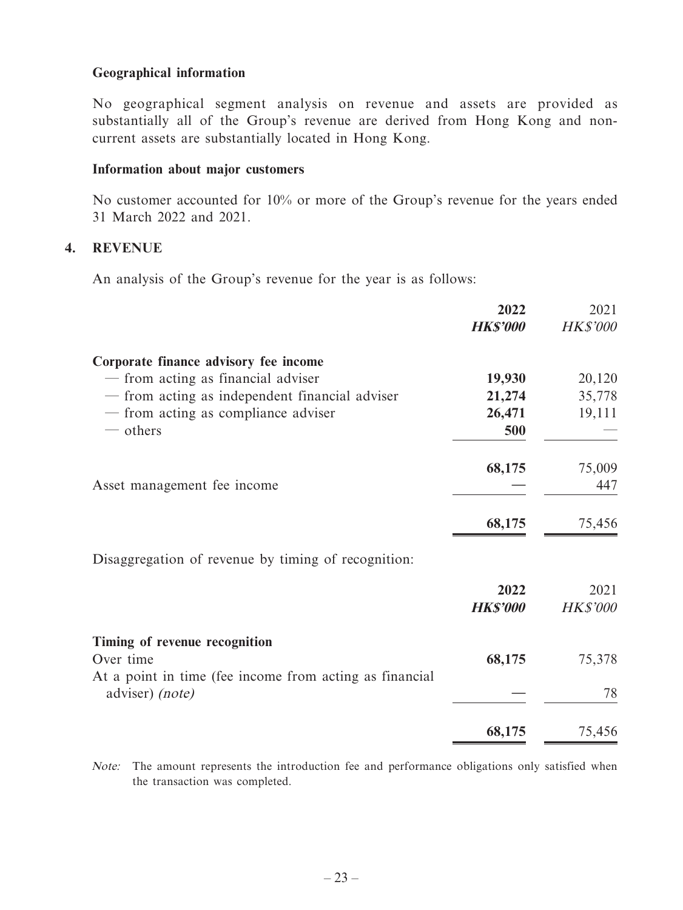### **Geographical information**

No geographical segment analysis on revenue and assets are provided as substantially all of the Group's revenue are derived from Hong Kong and noncurrent assets are substantially located in Hong Kong.

### **Information about major customers**

No customer accounted for 10% or more of the Group's revenue for the years ended 31 March 2022 and 2021.

### **4. REVENUE**

An analysis of the Group's revenue for the year is as follows:

|                                                                            | 2022<br><b>HK\$'000</b> | 2021<br><b>HK\$'000</b> |
|----------------------------------------------------------------------------|-------------------------|-------------------------|
| Corporate finance advisory fee income                                      |                         |                         |
| - from acting as financial adviser                                         | 19,930                  | 20,120                  |
| - from acting as independent financial adviser                             | 21,274                  | 35,778                  |
| - from acting as compliance adviser<br>$-$ others                          | 26,471<br>500           | 19,111                  |
|                                                                            | 68,175                  | 75,009                  |
| Asset management fee income                                                |                         | 447                     |
|                                                                            | 68,175                  | 75,456                  |
| Disaggregation of revenue by timing of recognition:                        |                         |                         |
|                                                                            | 2022                    | 2021                    |
|                                                                            | <b>HK\$'000</b>         | <b>HK\$'000</b>         |
| Timing of revenue recognition                                              |                         |                         |
| Over time                                                                  | 68,175                  | 75,378                  |
| At a point in time (fee income from acting as financial<br>adviser) (note) |                         | 78                      |
|                                                                            | 68,175                  | 75,456                  |

Note: The amount represents the introduction fee and performance obligations only satisfied when the transaction was completed.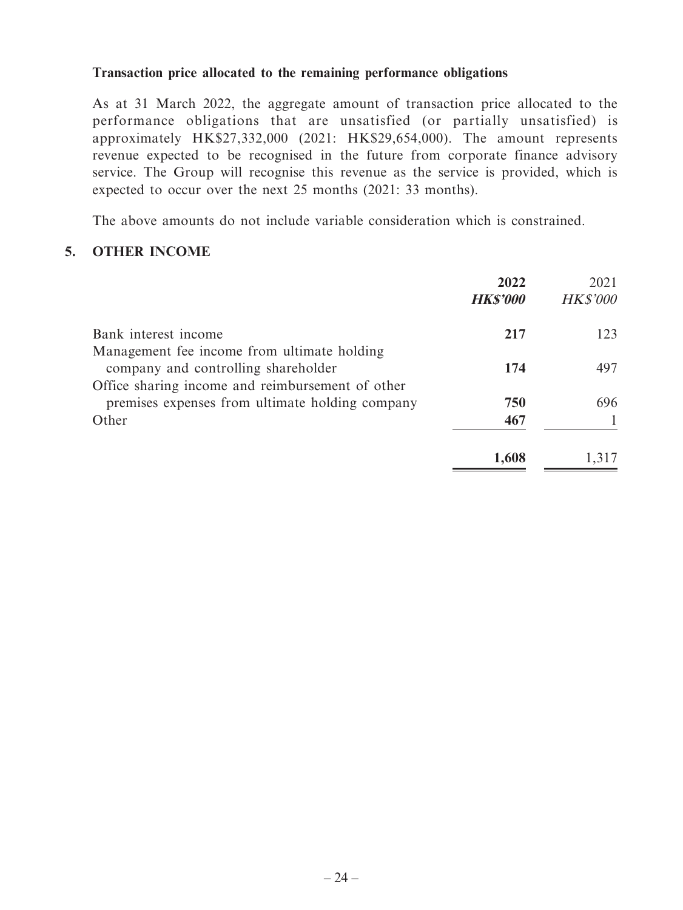### **Transaction price allocated to the remaining performance obligations**

As at 31 March 2022, the aggregate amount of transaction price allocated to the performance obligations that are unsatisfied (or partially unsatisfied) is approximately HK\$27,332,000 (2021: HK\$29,654,000). The amount represents revenue expected to be recognised in the future from corporate finance advisory service. The Group will recognise this revenue as the service is provided, which is expected to occur over the next 25 months (2021: 33 months).

The above amounts do not include variable consideration which is constrained.

### **5. OTHER INCOME**

|                                                  | 2022<br><b>HK\$'000</b> | 2021<br><b>HK\$'000</b> |
|--------------------------------------------------|-------------------------|-------------------------|
| Bank interest income                             | 217                     | 123                     |
| Management fee income from ultimate holding      |                         |                         |
| company and controlling shareholder              | 174                     | 497                     |
| Office sharing income and reimbursement of other |                         |                         |
| premises expenses from ultimate holding company  | 750                     | 696                     |
| Other                                            | 467                     |                         |
|                                                  | 1,608                   | 1.317                   |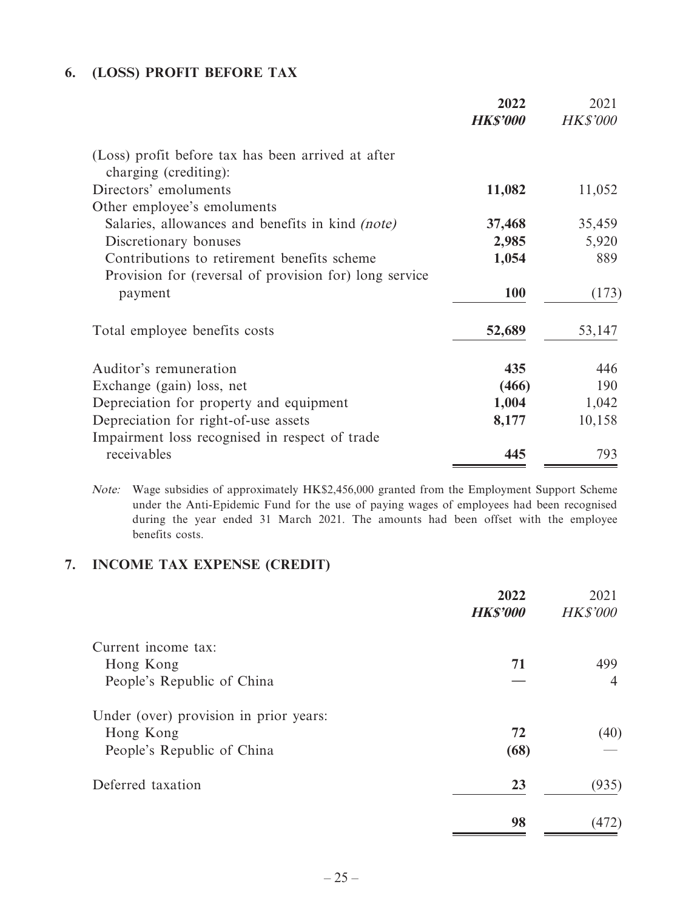## **6. (LOSS) PROFIT BEFORE TAX**

|                                                                             | 2022            | 2021            |
|-----------------------------------------------------------------------------|-----------------|-----------------|
|                                                                             | <b>HK\$'000</b> | <b>HK\$'000</b> |
| (Loss) profit before tax has been arrived at after<br>charging (crediting): |                 |                 |
| Directors' emoluments                                                       | 11,082          | 11,052          |
| Other employee's emoluments                                                 |                 |                 |
| Salaries, allowances and benefits in kind <i>(note)</i>                     | 37,468          | 35,459          |
| Discretionary bonuses                                                       | 2,985           | 5,920           |
| Contributions to retirement benefits scheme                                 | 1,054           | 889             |
| Provision for (reversal of provision for) long service                      |                 |                 |
| payment                                                                     | <b>100</b>      | (173)           |
| Total employee benefits costs                                               | 52,689          | 53,147          |
| Auditor's remuneration                                                      | 435             | 446             |
| Exchange (gain) loss, net                                                   | (466)           | 190             |
| Depreciation for property and equipment                                     | 1,004           | 1,042           |
| Depreciation for right-of-use assets                                        | 8,177           | 10,158          |
| Impairment loss recognised in respect of trade                              |                 |                 |
| receivables                                                                 | 445             | 793             |

Note: Wage subsidies of approximately HK\$2,456,000 granted from the Employment Support Scheme under the Anti-Epidemic Fund for the use of paying wages of employees had been recognised during the year ended 31 March 2021. The amounts had been offset with the employee benefits costs.

## **7. INCOME TAX EXPENSE (CREDIT)**

|                                        | 2022            | 2021            |
|----------------------------------------|-----------------|-----------------|
|                                        | <b>HK\$'000</b> | <b>HK\$'000</b> |
| Current income tax:                    |                 |                 |
| Hong Kong                              | 71              | 499             |
| People's Republic of China             |                 | $\overline{4}$  |
| Under (over) provision in prior years: |                 |                 |
| Hong Kong                              | 72              | (40)            |
| People's Republic of China             | (68)            |                 |
| Deferred taxation                      | 23              | (935)           |
|                                        | 98              | (472)           |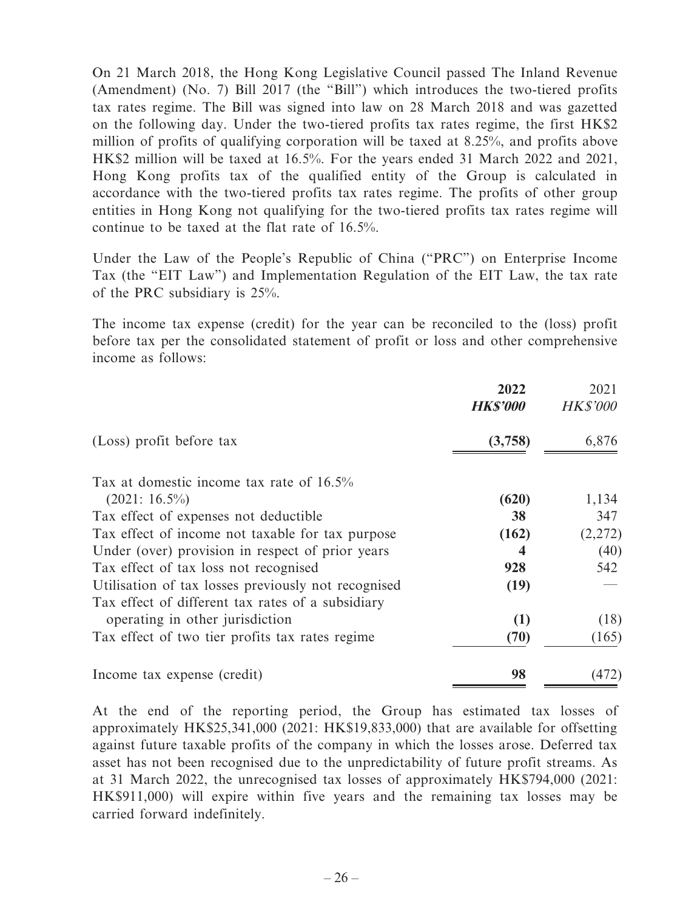On 21 March 2018, the Hong Kong Legislative Council passed The Inland Revenue (Amendment) (No. 7) Bill 2017 (the "Bill") which introduces the two-tiered profits tax rates regime. The Bill was signed into law on 28 March 2018 and was gazetted on the following day. Under the two-tiered profits tax rates regime, the first HK\$2 million of profits of qualifying corporation will be taxed at 8.25%, and profits above HK\$2 million will be taxed at 16.5%. For the years ended 31 March 2022 and 2021, Hong Kong profits tax of the qualified entity of the Group is calculated in accordance with the two-tiered profits tax rates regime. The profits of other group entities in Hong Kong not qualifying for the two-tiered profits tax rates regime will continue to be taxed at the flat rate of 16.5%.

Under the Law of the People's Republic of China ("PRC") on Enterprise Income Tax (the "EIT Law") and Implementation Regulation of the EIT Law, the tax rate of the PRC subsidiary is 25%.

The income tax expense (credit) for the year can be reconciled to the (loss) profit before tax per the consolidated statement of profit or loss and other comprehensive income as follows:

|                                                                                                          | 2022            | 2021            |
|----------------------------------------------------------------------------------------------------------|-----------------|-----------------|
|                                                                                                          | <b>HK\$'000</b> | <b>HK\$'000</b> |
| (Loss) profit before tax                                                                                 | (3,758)         | 6,876           |
| Tax at domestic income tax rate of 16.5%                                                                 |                 |                 |
| $(2021: 16.5\%)$                                                                                         | (620)           | 1,134           |
| Tax effect of expenses not deductible                                                                    | 38              | 347             |
| Tax effect of income not taxable for tax purpose                                                         | (162)           | (2,272)         |
| Under (over) provision in respect of prior years                                                         | 4               | (40)            |
| Tax effect of tax loss not recognised                                                                    | 928             | 542             |
| Utilisation of tax losses previously not recognised<br>Tax effect of different tax rates of a subsidiary | (19)            |                 |
| operating in other jurisdiction                                                                          | (1)             | (18)            |
| Tax effect of two tier profits tax rates regime                                                          | (70)            | (165)           |
| Income tax expense (credit)                                                                              | 98              | (472)           |

At the end of the reporting period, the Group has estimated tax losses of approximately HK\$25,341,000 (2021: HK\$19,833,000) that are available for offsetting against future taxable profits of the company in which the losses arose. Deferred tax asset has not been recognised due to the unpredictability of future profit streams. As at 31 March 2022, the unrecognised tax losses of approximately HK\$794,000 (2021: HK\$911,000) will expire within five years and the remaining tax losses may be carried forward indefinitely.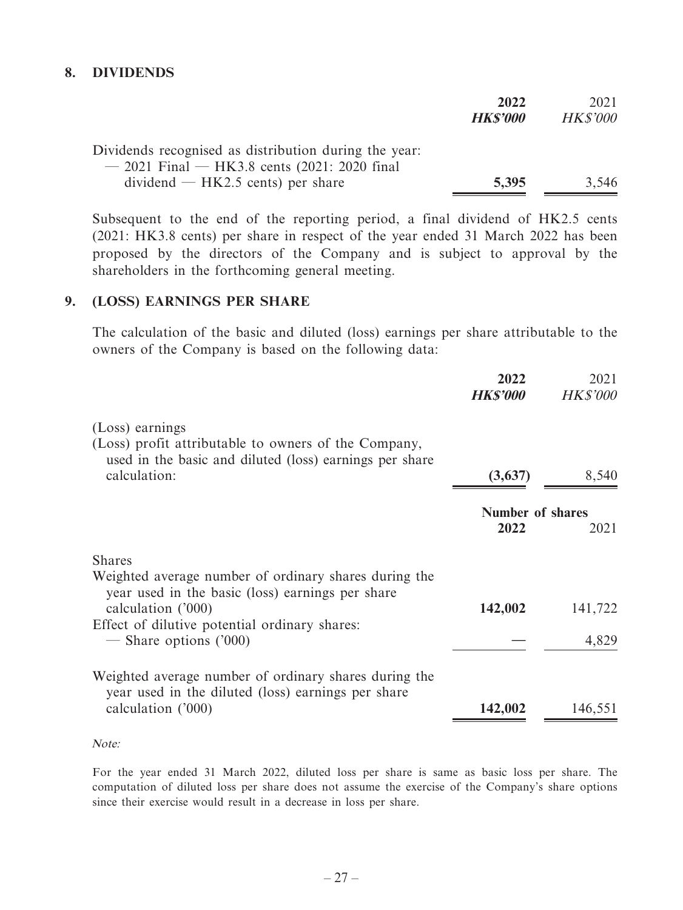### **8. DIVIDENDS**

|                                                       | 2022           | 2021            |
|-------------------------------------------------------|----------------|-----------------|
|                                                       | <b>HKS'000</b> | <b>HK\$'000</b> |
| Dividends recognised as distribution during the year: |                |                 |
| $-$ 2021 Final – HK3.8 cents (2021: 2020 final        |                |                 |
| $dividend$ – HK2.5 cents) per share                   | 5,395          | 3.546           |

Subsequent to the end of the reporting period, a final dividend of HK2.5 cents (2021: HK3.8 cents) per share in respect of the year ended 31 March 2022 has been proposed by the directors of the Company and is subject to approval by the shareholders in the forthcoming general meeting.

### **9. (LOSS) EARNINGS PER SHARE**

The calculation of the basic and diluted (loss) earnings per share attributable to the owners of the Company is based on the following data:

|                                                                                                                                    | 2022<br><b>HK\$'000</b>  | 2021<br><b>HK\$'000</b> |
|------------------------------------------------------------------------------------------------------------------------------------|--------------------------|-------------------------|
| (Loss) earnings<br>(Loss) profit attributable to owners of the Company,<br>used in the basic and diluted (loss) earnings per share |                          |                         |
| calculation:                                                                                                                       | (3,637)                  | 8,540                   |
|                                                                                                                                    | Number of shares<br>2022 | 2021                    |
| <b>Shares</b><br>Weighted average number of ordinary shares during the<br>year used in the basic (loss) earnings per share         |                          |                         |
| calculation ('000)                                                                                                                 | 142,002                  | 141,722                 |
| Effect of dilutive potential ordinary shares:<br>— Share options $(000)$                                                           |                          | 4,829                   |
| Weighted average number of ordinary shares during the<br>year used in the diluted (loss) earnings per share                        |                          |                         |
| calculation ('000)                                                                                                                 | 142,002                  | 146,551                 |

Note:

For the year ended 31 March 2022, diluted loss per share is same as basic loss per share. The computation of diluted loss per share does not assume the exercise of the Company's share options since their exercise would result in a decrease in loss per share.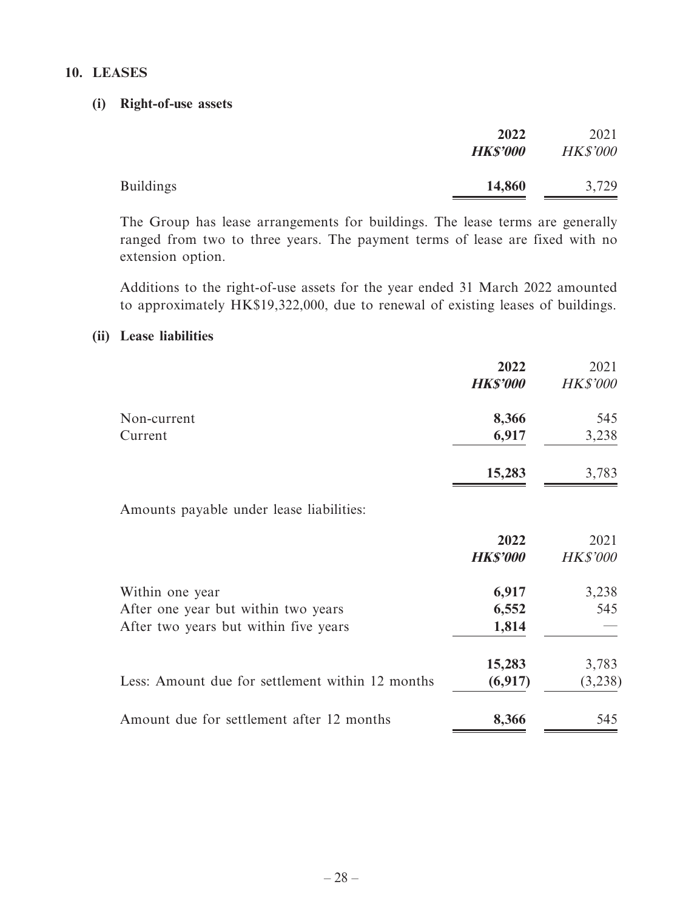### **10. LEASES**

#### **(i) Right-of-use assets**

|                  | 2022            | 2021            |
|------------------|-----------------|-----------------|
|                  | <b>HK\$'000</b> | <b>HK\$'000</b> |
| <b>Buildings</b> | 14,860          | 3,729           |
|                  |                 |                 |

The Group has lease arrangements for buildings. The lease terms are generally ranged from two to three years. The payment terms of lease are fixed with no extension option.

Additions to the right-of-use assets for the year ended 31 March 2022 amounted to approximately HK\$19,322,000, due to renewal of existing leases of buildings.

### **(ii) Lease liabilities**

|                                                  | 2022            | 2021            |
|--------------------------------------------------|-----------------|-----------------|
|                                                  | <b>HK\$'000</b> | <b>HK\$'000</b> |
| Non-current                                      | 8,366           | 545             |
| Current                                          | 6,917           | 3,238           |
|                                                  | 15,283          | 3,783           |
| Amounts payable under lease liabilities:         |                 |                 |
|                                                  | 2022            | 2021            |
|                                                  | <b>HK\$'000</b> | <b>HK\$'000</b> |
| Within one year                                  | 6,917           | 3,238           |
| After one year but within two years              | 6,552           | 545             |
| After two years but within five years            | 1,814           |                 |
|                                                  | 15,283          | 3,783           |
| Less: Amount due for settlement within 12 months | (6,917)         | (3,238)         |
| Amount due for settlement after 12 months        | 8,366           | 545             |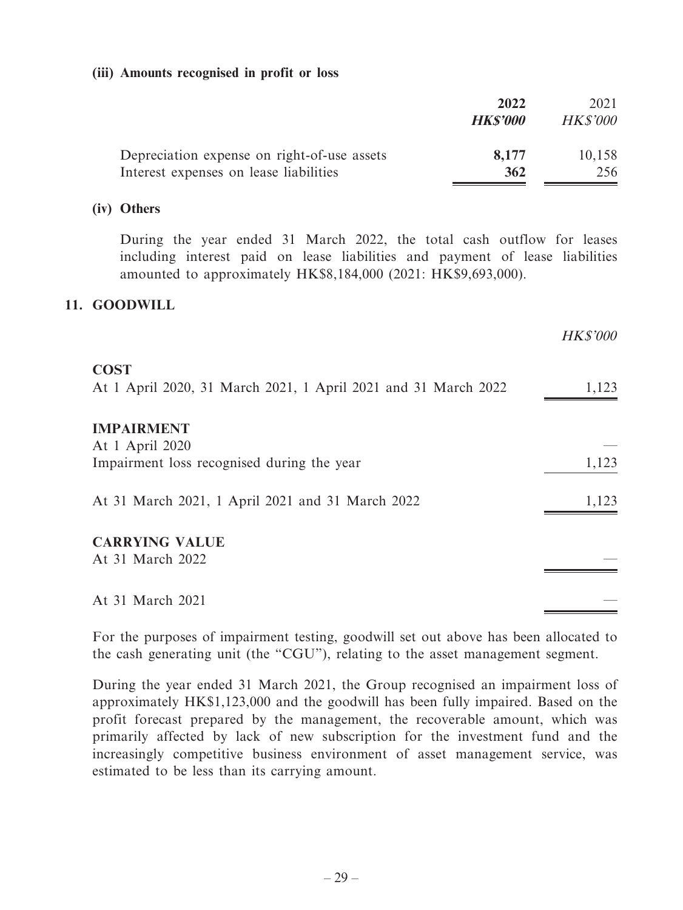### **(iii) Amounts recognised in profit or loss**

|                                             | 2022           | 2021            |
|---------------------------------------------|----------------|-----------------|
|                                             | <b>HKS'000</b> | <b>HK\$'000</b> |
| Depreciation expense on right-of-use assets | 8.177          | 10,158          |
| Interest expenses on lease liabilities      | 362            | 256             |

### **(iv) Others**

During the year ended 31 March 2022, the total cash outflow for leases including interest paid on lease liabilities and payment of lease liabilities amounted to approximately HK\$8,184,000 (2021: HK\$9,693,000).

### **11. GOODWILL**

|                                                                                    | <b>HK\$'000</b> |
|------------------------------------------------------------------------------------|-----------------|
| <b>COST</b><br>At 1 April 2020, 31 March 2021, 1 April 2021 and 31 March 2022      | 1,123           |
| <b>IMPAIRMENT</b><br>At 1 April 2020<br>Impairment loss recognised during the year | 1,123           |
| At 31 March 2021, 1 April 2021 and 31 March 2022                                   | 1,123           |
| <b>CARRYING VALUE</b><br>At 31 March 2022                                          |                 |
| At 31 March 2021                                                                   |                 |

For the purposes of impairment testing, goodwill set out above has been allocated to the cash generating unit (the "CGU"), relating to the asset management segment.

During the year ended 31 March 2021, the Group recognised an impairment loss of approximately HK\$1,123,000 and the goodwill has been fully impaired. Based on the profit forecast prepared by the management, the recoverable amount, which was primarily affected by lack of new subscription for the investment fund and the increasingly competitive business environment of asset management service, was estimated to be less than its carrying amount.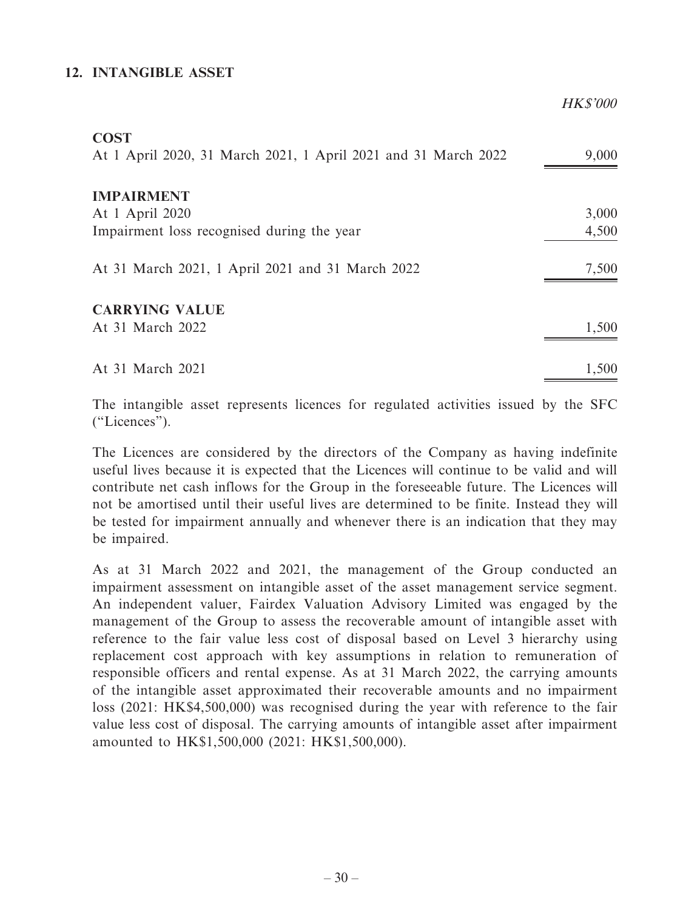### **12. INTANGIBLE ASSET**

HK\$'000

| <b>COST</b><br>At 1 April 2020, 31 March 2021, 1 April 2021 and 31 March 2022 | 9,000 |
|-------------------------------------------------------------------------------|-------|
| <b>IMPAIRMENT</b>                                                             |       |
| At 1 April 2020                                                               | 3,000 |
| Impairment loss recognised during the year                                    | 4,500 |
| At 31 March 2021, 1 April 2021 and 31 March 2022                              | 7,500 |
| <b>CARRYING VALUE</b>                                                         |       |
| At 31 March 2022                                                              | 1,500 |
| At 31 March 2021                                                              | 1,500 |

The intangible asset represents licences for regulated activities issued by the SFC ("Licences").

The Licences are considered by the directors of the Company as having indefinite useful lives because it is expected that the Licences will continue to be valid and will contribute net cash inflows for the Group in the foreseeable future. The Licences will not be amortised until their useful lives are determined to be finite. Instead they will be tested for impairment annually and whenever there is an indication that they may be impaired.

As at 31 March 2022 and 2021, the management of the Group conducted an impairment assessment on intangible asset of the asset management service segment. An independent valuer, Fairdex Valuation Advisory Limited was engaged by the management of the Group to assess the recoverable amount of intangible asset with reference to the fair value less cost of disposal based on Level 3 hierarchy using replacement cost approach with key assumptions in relation to remuneration of responsible officers and rental expense. As at 31 March 2022, the carrying amounts of the intangible asset approximated their recoverable amounts and no impairment loss (2021: HK\$4,500,000) was recognised during the year with reference to the fair value less cost of disposal. The carrying amounts of intangible asset after impairment amounted to HK\$1,500,000 (2021: HK\$1,500,000).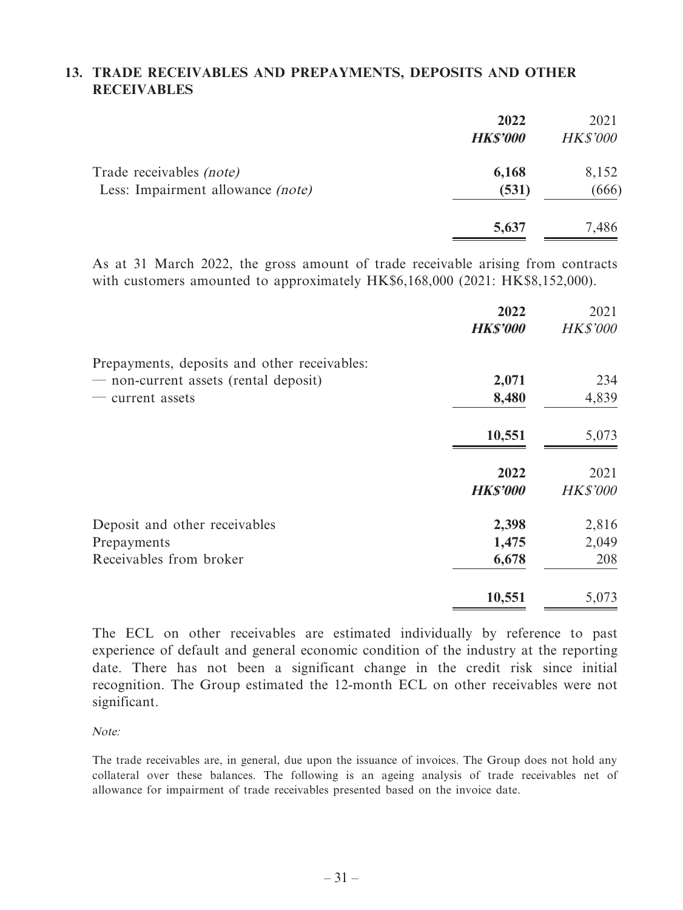## **13. TRADE RECEIVABLES AND PREPAYMENTS, DEPOSITS AND OTHER RECEIVABLES**

|                                   | 2022<br><b>HK\$'000</b> | 2021<br><b>HK\$'000</b> |
|-----------------------------------|-------------------------|-------------------------|
| Trade receivables (note)          | 6,168                   | 8,152                   |
| Less: Impairment allowance (note) | (531)                   | (666)                   |
|                                   | 5,637                   | 7,486                   |

As at 31 March 2022, the gross amount of trade receivable arising from contracts with customers amounted to approximately HK\$6,168,000 (2021: HK\$8,152,000).

|                                              | 2022<br><b>HK\$'000</b> | 2021<br><b>HK\$'000</b> |
|----------------------------------------------|-------------------------|-------------------------|
| Prepayments, deposits and other receivables: |                         |                         |
| - non-current assets (rental deposit)        | 2,071                   | 234                     |
| current assets                               | 8,480                   | 4,839                   |
|                                              | 10,551                  | 5,073                   |
|                                              | 2022                    | 2021                    |
|                                              | <b>HK\$'000</b>         | <b>HK\$'000</b>         |
| Deposit and other receivables                | 2,398                   | 2,816                   |
| Prepayments                                  | 1,475                   | 2,049                   |
| Receivables from broker                      | 6,678                   | 208                     |
|                                              | 10,551                  | 5,073                   |

The ECL on other receivables are estimated individually by reference to past experience of default and general economic condition of the industry at the reporting date. There has not been a significant change in the credit risk since initial recognition. The Group estimated the 12-month ECL on other receivables were not significant.

Note:

The trade receivables are, in general, due upon the issuance of invoices. The Group does not hold any collateral over these balances. The following is an ageing analysis of trade receivables net of allowance for impairment of trade receivables presented based on the invoice date.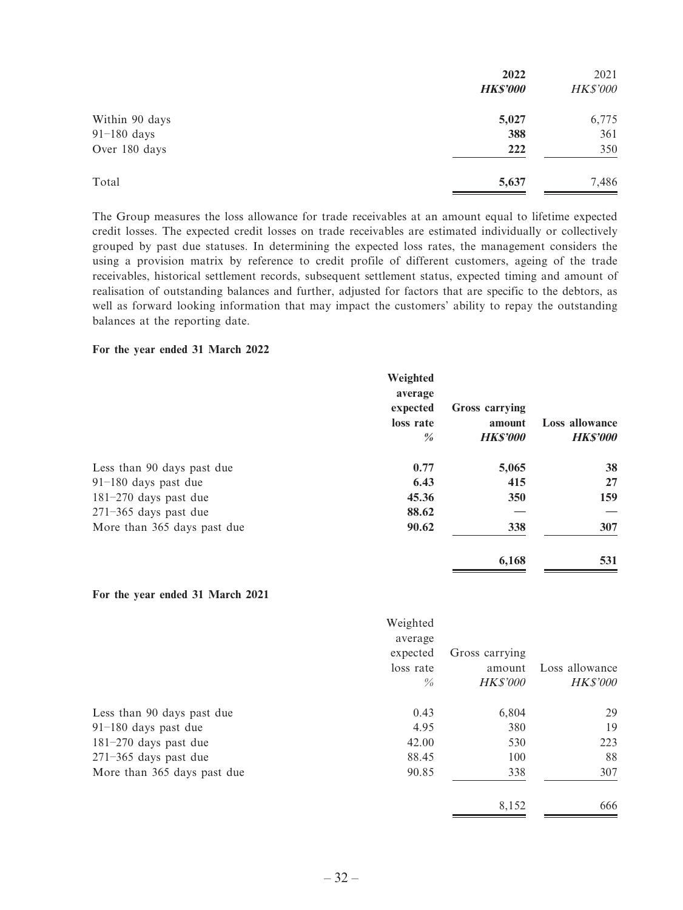|                | 2022            | 2021            |
|----------------|-----------------|-----------------|
|                | <b>HK\$'000</b> | <b>HK\$'000</b> |
| Within 90 days | 5,027           | 6,775           |
| $91-180$ days  | 388             | 361             |
| Over 180 days  | 222             | 350             |
| Total          | 5,637           | 7,486           |

The Group measures the loss allowance for trade receivables at an amount equal to lifetime expected credit losses. The expected credit losses on trade receivables are estimated individually or collectively grouped by past due statuses. In determining the expected loss rates, the management considers the using a provision matrix by reference to credit profile of different customers, ageing of the trade receivables, historical settlement records, subsequent settlement status, expected timing and amount of realisation of outstanding balances and further, adjusted for factors that are specific to the debtors, as well as forward looking information that may impact the customers' ability to repay the outstanding balances at the reporting date.

#### **For the year ended 31 March 2022**

|                             | Weighted<br>average<br>expected<br>loss rate<br>$\frac{0}{0}$ | <b>Gross carrying</b><br>amount<br><b>HKS'000</b> | Loss allowance<br><b>HKS'000</b> |
|-----------------------------|---------------------------------------------------------------|---------------------------------------------------|----------------------------------|
| Less than 90 days past due  | 0.77                                                          | 5,065                                             | 38                               |
| $91-180$ days past due      | 6.43                                                          | 415                                               | 27                               |
| $181-270$ days past due     | 45.36                                                         | 350                                               | 159                              |
| $271-365$ days past due     | 88.62                                                         |                                                   |                                  |
| More than 365 days past due | 90.62                                                         | 338                                               | 307                              |
|                             |                                                               | 6,168                                             | 531                              |

#### **For the year ended 31 March 2021**

|                             | Weighted      |                 |                 |
|-----------------------------|---------------|-----------------|-----------------|
|                             | average       |                 |                 |
|                             | expected      | Gross carrying  |                 |
|                             | loss rate     | amount          | Loss allowance  |
|                             | $\frac{0}{0}$ | <b>HK\$'000</b> | <b>HK\$'000</b> |
| Less than 90 days past due  | 0.43          | 6,804           | 29              |
| $91-180$ days past due      | 4.95          | 380             | 19              |
| $181-270$ days past due     | 42.00         | 530             | 223             |
| $271-365$ days past due     | 88.45         | 100             | 88              |
| More than 365 days past due | 90.85         | 338             | 307             |
|                             |               | 8,152           | 666             |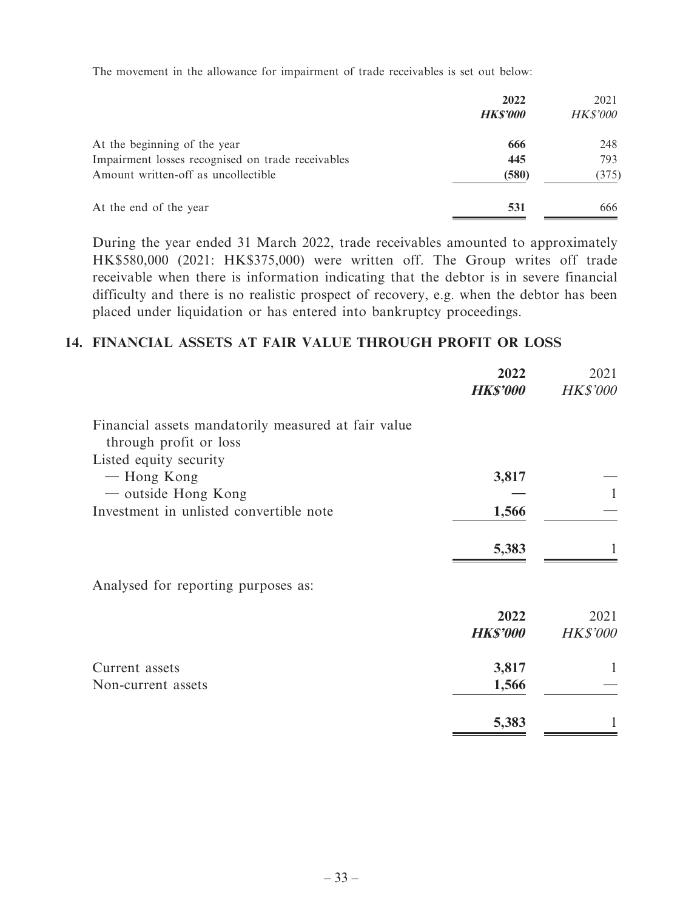The movement in the allowance for impairment of trade receivables is set out below:

|                                                   | 2022<br><b>HKS'000</b> | 2021<br><b>HK\$'000</b> |
|---------------------------------------------------|------------------------|-------------------------|
| At the beginning of the year                      | 666                    | 248                     |
| Impairment losses recognised on trade receivables | 445                    | 793                     |
| Amount written-off as uncollectible               | (580)                  | (375)                   |
| At the end of the year                            | 531                    | 666                     |

During the year ended 31 March 2022, trade receivables amounted to approximately HK\$580,000 (2021: HK\$375,000) were written off. The Group writes off trade receivable when there is information indicating that the debtor is in severe financial difficulty and there is no realistic prospect of recovery, e.g. when the debtor has been placed under liquidation or has entered into bankruptcy proceedings.

## **14. FINANCIAL ASSETS AT FAIR VALUE THROUGH PROFIT OR LOSS**

|                                                                               | 2022            | 2021            |
|-------------------------------------------------------------------------------|-----------------|-----------------|
|                                                                               | <b>HK\$'000</b> | <b>HK\$'000</b> |
| Financial assets mandatorily measured at fair value<br>through profit or loss |                 |                 |
| Listed equity security                                                        |                 |                 |
| — Hong Kong<br>— outside Hong Kong                                            | 3,817           |                 |
| Investment in unlisted convertible note                                       | 1,566           |                 |
|                                                                               |                 |                 |
|                                                                               | 5,383           |                 |
|                                                                               |                 |                 |
| Analysed for reporting purposes as:                                           |                 |                 |
|                                                                               | 2022            | 2021            |
|                                                                               | <b>HK\$'000</b> | <b>HK\$'000</b> |
| Current assets                                                                | 3,817           |                 |
| Non-current assets                                                            | 1,566           |                 |
|                                                                               | 5,383           |                 |
|                                                                               |                 |                 |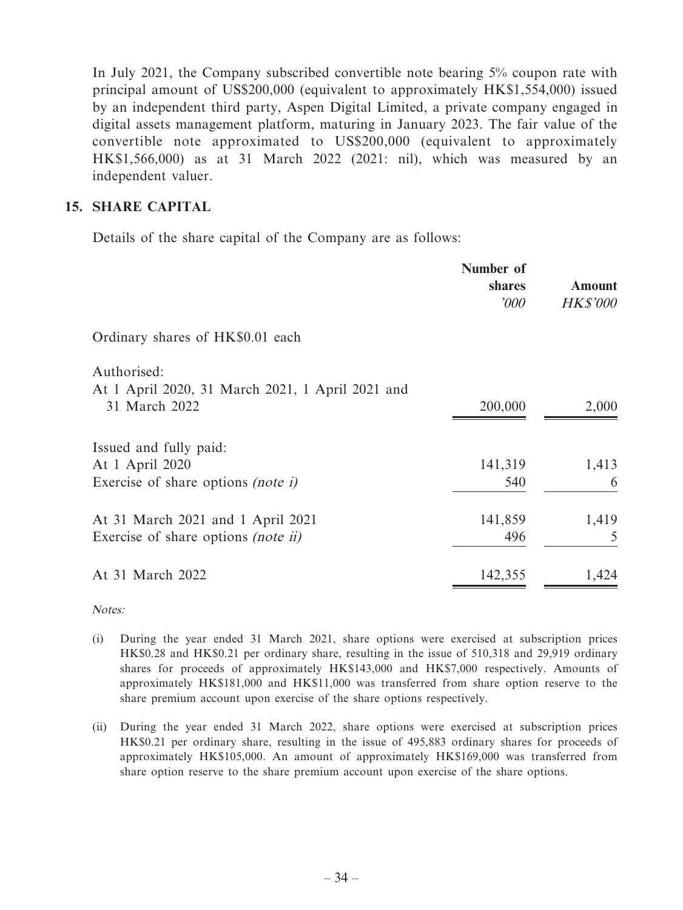In July 2021, the Company subscribed convertible note bearing 5% coupon rate with principal amount of US\$200,000 (equivalent to approximately HK\$1,554,000) issued by an independent third party, Aspen Digital Limited, a private company engaged in digital assets management platform, maturing in January 2023. The fair value of the convertible note approximated to US\$200,000 (equivalent to approximately HK\$1,566,000) as at 31 March 2022 (2021: nil), which was measured by an independent valuer.

## **15. SHARE CAPITAL**

Details of the share capital of the Company are as follows:

|                                                                                        | Number of<br>shares<br>000' | <b>Amount</b><br><b>HK\$'000</b> |
|----------------------------------------------------------------------------------------|-----------------------------|----------------------------------|
| Ordinary shares of HK\$0.01 each                                                       |                             |                                  |
| Authorised:<br>At 1 April 2020, 31 March 2021, 1 April 2021 and<br>31 March 2022       | 200,000                     | 2,000                            |
| Issued and fully paid:<br>At 1 April 2020<br>Exercise of share options <i>(note i)</i> | 141,319<br>540              | 1,413<br>6                       |
| At 31 March 2021 and 1 April 2021<br>Exercise of share options <i>(note ii)</i>        | 141,859<br>496              | 1,419<br>5                       |
| At 31 March 2022                                                                       | 142,355                     | 1,424                            |

Notes:

- (i) During the year ended 31 March 2021, share options were exercised at subscription prices HK\$0.28 and HK\$0.21 per ordinary share, resulting in the issue of 510,318 and 29,919 ordinary shares for proceeds of approximately HK\$143,000 and HK\$7,000 respectively. Amounts of approximately HK\$181,000 and HK\$11,000 was transferred from share option reserve to the share premium account upon exercise of the share options respectively.
- (ii) During the year ended 31 March 2022, share options were exercised at subscription prices HK\$0.21 per ordinary share, resulting in the issue of 495,883 ordinary shares for proceeds of approximately HK\$105,000. An amount of approximately HK\$169,000 was transferred from share option reserve to the share premium account upon exercise of the share options.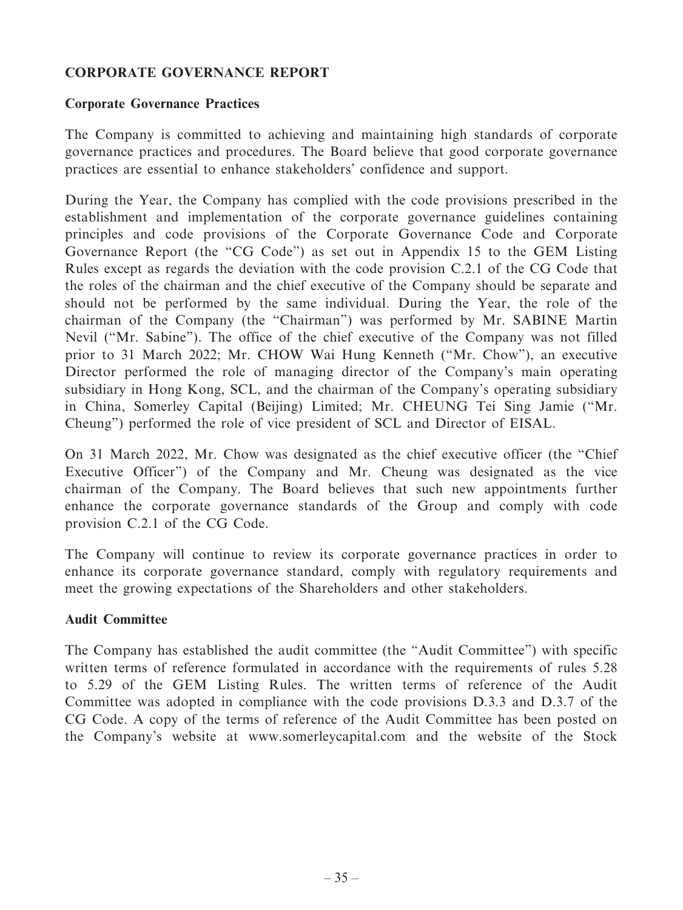## **CORPORATE GOVERNANCE REPORT**

### **Corporate Governance Practices**

The Company is committed to achieving and maintaining high standards of corporate governance practices and procedures. The Board believe that good corporate governance practices are essential to enhance stakeholders' confidence and support.

During the Year, the Company has complied with the code provisions prescribed in the establishment and implementation of the corporate governance guidelines containing principles and code provisions of the Corporate Governance Code and Corporate Governance Report (the "CG Code") as set out in Appendix 15 to the GEM Listing Rules except as regards the deviation with the code provision C.2.1 of the CG Code that the roles of the chairman and the chief executive of the Company should be separate and should not be performed by the same individual. During the Year, the role of the chairman of the Company (the "Chairman") was performed by Mr. SABINE Martin Nevil ("Mr. Sabine"). The office of the chief executive of the Company was not filled prior to 31 March 2022; Mr. CHOW Wai Hung Kenneth ("Mr. Chow"), an executive Director performed the role of managing director of the Company's main operating subsidiary in Hong Kong, SCL, and the chairman of the Company's operating subsidiary in China, Somerley Capital (Beijing) Limited; Mr. CHEUNG Tei Sing Jamie ("Mr. Cheung") performed the role of vice president of SCL and Director of EISAL.

On 31 March 2022, Mr. Chow was designated as the chief executive officer (the "Chief Executive Officer") of the Company and Mr. Cheung was designated as the vice chairman of the Company. The Board believes that such new appointments further enhance the corporate governance standards of the Group and comply with code provision C.2.1 of the CG Code.

The Company will continue to review its corporate governance practices in order to enhance its corporate governance standard, comply with regulatory requirements and meet the growing expectations of the Shareholders and other stakeholders.

### **Audit Committee**

The Company has established the audit committee (the "Audit Committee") with specific written terms of reference formulated in accordance with the requirements of rules 5.28 to 5.29 of the GEM Listing Rules. The written terms of reference of the Audit Committee was adopted in compliance with the code provisions D.3.3 and D.3.7 of the CG Code. A copy of the terms of reference of the Audit Committee has been posted on the Company's website at www.somerleycapital.com and the website of the Stock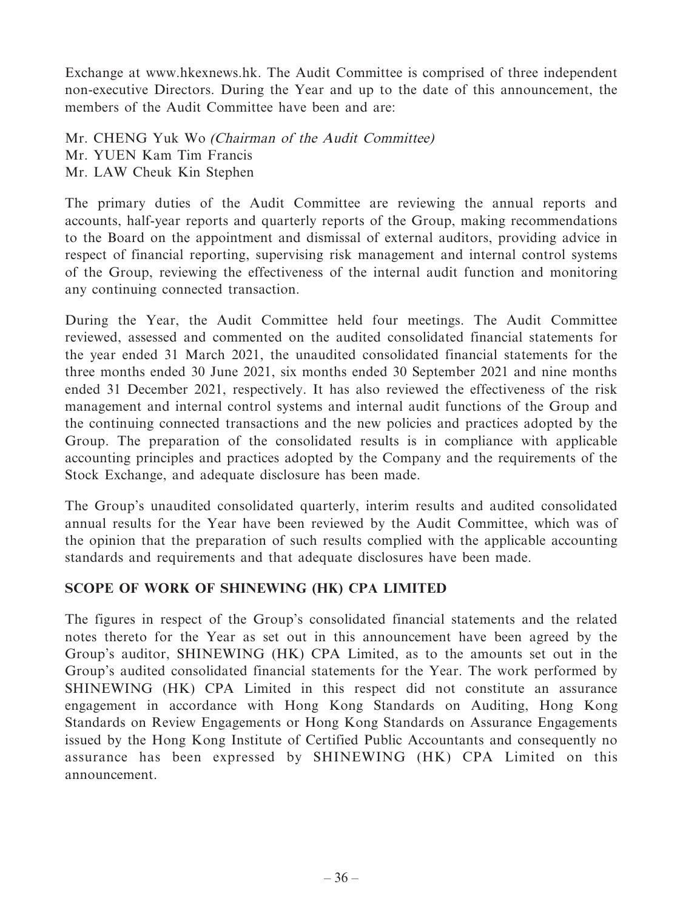Exchange at www.hkexnews.hk. The Audit Committee is comprised of three independent non-executive Directors. During the Year and up to the date of this announcement, the members of the Audit Committee have been and are:

Mr. CHENG Yuk Wo (Chairman of the Audit Committee) Mr. YUEN Kam Tim Francis Mr. LAW Cheuk Kin Stephen

The primary duties of the Audit Committee are reviewing the annual reports and accounts, half-year reports and quarterly reports of the Group, making recommendations to the Board on the appointment and dismissal of external auditors, providing advice in respect of financial reporting, supervising risk management and internal control systems of the Group, reviewing the effectiveness of the internal audit function and monitoring any continuing connected transaction.

During the Year, the Audit Committee held four meetings. The Audit Committee reviewed, assessed and commented on the audited consolidated financial statements for the year ended 31 March 2021, the unaudited consolidated financial statements for the three months ended 30 June 2021, six months ended 30 September 2021 and nine months ended 31 December 2021, respectively. It has also reviewed the effectiveness of the risk management and internal control systems and internal audit functions of the Group and the continuing connected transactions and the new policies and practices adopted by the Group. The preparation of the consolidated results is in compliance with applicable accounting principles and practices adopted by the Company and the requirements of the Stock Exchange, and adequate disclosure has been made.

The Group's unaudited consolidated quarterly, interim results and audited consolidated annual results for the Year have been reviewed by the Audit Committee, which was of the opinion that the preparation of such results complied with the applicable accounting standards and requirements and that adequate disclosures have been made.

## **SCOPE OF WORK OF SHINEWING (HK) CPA LIMITED**

The figures in respect of the Group's consolidated financial statements and the related notes thereto for the Year as set out in this announcement have been agreed by the Group's auditor, SHINEWING (HK) CPA Limited, as to the amounts set out in the Group's audited consolidated financial statements for the Year. The work performed by SHINEWING (HK) CPA Limited in this respect did not constitute an assurance engagement in accordance with Hong Kong Standards on Auditing, Hong Kong Standards on Review Engagements or Hong Kong Standards on Assurance Engagements issued by the Hong Kong Institute of Certified Public Accountants and consequently no assurance has been expressed by SHINEWING (HK) CPA Limited on this announcement.